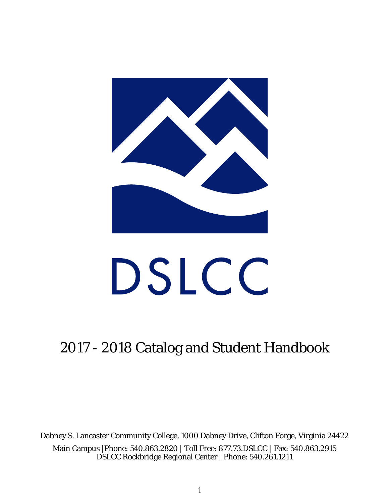

# DSLCC

# 2017 - 2018 Catalog and Student Handbook

Dabney S. Lancaster Community College, 1000 Dabney Drive, Clifton Forge, Virginia 24422 Main Campus |Phone: 540.863.2820 | Toll Free: 877.73.DSLCC | Fax: 540.863.2915 DSLCC Rockbridge Regional Center | Phone: 540.261.1211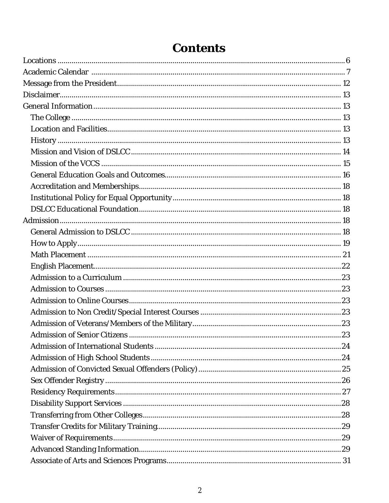# **Contents**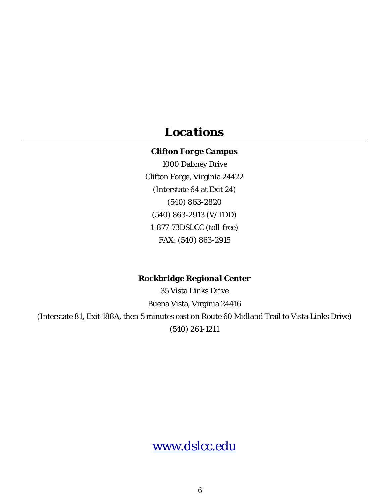## *Locations*

#### *Clifton Forge Campus*

1000 Dabney Drive Clifton Forge, Virginia 24422 (Interstate 64 at Exit 24) (540) 863-2820 (540) 863-2913 (V/TDD) 1-877-73DSLCC (toll-free) FAX: (540) 863-2915

#### *Rockbridge Regional Center*

35 Vista Links Drive Buena Vista, Virginia 24416 (Interstate 81, Exit 188A, then 5 minutes east on Route 60 Midland Trail to Vista Links Drive) (540) 261-1211

www.dslcc.edu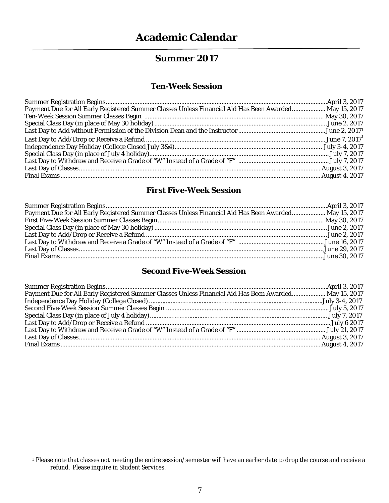## **Summer 2017**

#### *Ten-Week Session*

| Payment Due for All Early Registered Summer Classes Unless Financial Aid Has Been Awarded May 15, 2017 |  |
|--------------------------------------------------------------------------------------------------------|--|
|                                                                                                        |  |
|                                                                                                        |  |
|                                                                                                        |  |
|                                                                                                        |  |
|                                                                                                        |  |
|                                                                                                        |  |
|                                                                                                        |  |
|                                                                                                        |  |
|                                                                                                        |  |

#### *First Five-Week Session*

| Payment Due for All Early Registered Summer Classes Unless Financial Aid Has Been Awarded May 15, 2017 |  |
|--------------------------------------------------------------------------------------------------------|--|
|                                                                                                        |  |
|                                                                                                        |  |
|                                                                                                        |  |
|                                                                                                        |  |
|                                                                                                        |  |
|                                                                                                        |  |

#### *Second Five-Week Session*

| Payment Due for All Early Registered Summer Classes Unless Financial Aid Has Been Awarded May 15, 2017 |  |
|--------------------------------------------------------------------------------------------------------|--|
|                                                                                                        |  |
|                                                                                                        |  |
|                                                                                                        |  |
|                                                                                                        |  |
|                                                                                                        |  |
|                                                                                                        |  |
|                                                                                                        |  |

<sup>1</sup> Please note that classes not meeting the entire session/semester will have an earlier date to drop the course and receive a refund. Please inquire in Student Services.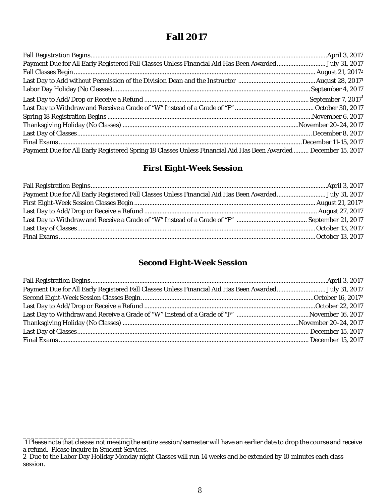## **Fall 2017**

| Payment Due for All Early Registered Fall Classes Unless Financial Aid Has Been AwardedJuly 31, 2017            |  |
|-----------------------------------------------------------------------------------------------------------------|--|
|                                                                                                                 |  |
|                                                                                                                 |  |
|                                                                                                                 |  |
|                                                                                                                 |  |
|                                                                                                                 |  |
|                                                                                                                 |  |
|                                                                                                                 |  |
|                                                                                                                 |  |
|                                                                                                                 |  |
| Payment Due for All Early Registered Spring 18 Classes Unless Financial Aid Has Been Awarded  December 15, 2017 |  |

#### *First Eight-Week Session*

| Payment Due for All Early Registered Fall Classes Unless Financial Aid Has Been Awarded July 31, 2017 |  |
|-------------------------------------------------------------------------------------------------------|--|
|                                                                                                       |  |
|                                                                                                       |  |
|                                                                                                       |  |
|                                                                                                       |  |
|                                                                                                       |  |

#### *Second Eight-Week Session*

\_\_\_\_\_\_\_\_\_\_\_\_\_\_\_\_\_\_\_\_\_\_\_\_\_\_\_ 1 Please note that classes not meeting the entire session/semester will have an earlier date to drop the course and receive a refund. Please inquire in Student Services.

<sup>2</sup> Due to the Labor Day Holiday Monday night Classes will run 14 weeks and be extended by 10 minutes each class session.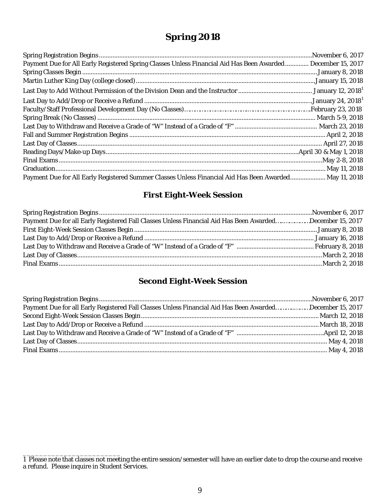## **Spring 2018**

| Payment Due for All Early Registered Spring Classes Unless Financial Aid Has Been Awarded December 15, 2017 |  |
|-------------------------------------------------------------------------------------------------------------|--|
|                                                                                                             |  |
|                                                                                                             |  |
|                                                                                                             |  |
|                                                                                                             |  |
|                                                                                                             |  |
|                                                                                                             |  |
|                                                                                                             |  |
|                                                                                                             |  |
|                                                                                                             |  |
|                                                                                                             |  |
|                                                                                                             |  |
|                                                                                                             |  |
| Payment Due for All Early Registered Summer Classes Unless Financial Aid Has Been Awarded May 11, 2018      |  |

#### *First Eight-Week Session*

| Payment Due for all Early Registered Fall Classes Unless Financial Aid Has Been AwardedDecember 15, 2017 |  |
|----------------------------------------------------------------------------------------------------------|--|
|                                                                                                          |  |
|                                                                                                          |  |
|                                                                                                          |  |
|                                                                                                          |  |
|                                                                                                          |  |
|                                                                                                          |  |

#### *Second Eight-Week Session*

| Payment Due for all Early Registered Fall Classes Unless Financial Aid Has Been AwardedDecember 15, 2017 |  |
|----------------------------------------------------------------------------------------------------------|--|
|                                                                                                          |  |
|                                                                                                          |  |
|                                                                                                          |  |
|                                                                                                          |  |
|                                                                                                          |  |

\_\_\_\_\_\_\_\_\_\_\_\_\_\_\_\_\_\_\_\_\_\_\_\_

<sup>1</sup> Please note that classes not meeting the entire session/semester will have an earlier date to drop the course and receive a refund. Please inquire in Student Services.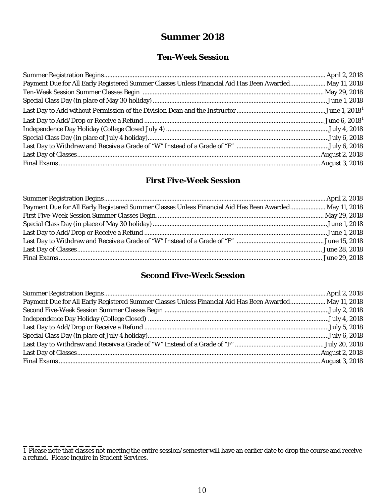## **Summer 2018**

## *Ten-Week Session*

| Payment Due for All Early Registered Summer Classes Unless Financial Aid Has Been Awarded May 11, 2018 |  |
|--------------------------------------------------------------------------------------------------------|--|
|                                                                                                        |  |
|                                                                                                        |  |
|                                                                                                        |  |
|                                                                                                        |  |
|                                                                                                        |  |
|                                                                                                        |  |
|                                                                                                        |  |
|                                                                                                        |  |
|                                                                                                        |  |

## *First Five-Week Session*

| Payment Due for All Early Registered Summer Classes Unless Financial Aid Has Been Awarded May 11, 2018 |  |
|--------------------------------------------------------------------------------------------------------|--|
|                                                                                                        |  |
|                                                                                                        |  |
|                                                                                                        |  |
|                                                                                                        |  |
|                                                                                                        |  |
|                                                                                                        |  |

## *Second Five-Week Session*

| Payment Due for All Early Registered Summer Classes Unless Financial Aid Has Been Awarded May 11, 2018 |  |
|--------------------------------------------------------------------------------------------------------|--|
|                                                                                                        |  |
|                                                                                                        |  |
|                                                                                                        |  |
|                                                                                                        |  |
|                                                                                                        |  |
|                                                                                                        |  |
|                                                                                                        |  |

**\_\_\_\_\_\_\_\_\_\_\_\_\_**

<sup>1</sup> Please note that classes not meeting the entire session/semester will have an earlier date to drop the course and receive a refund. Please inquire in Student Services.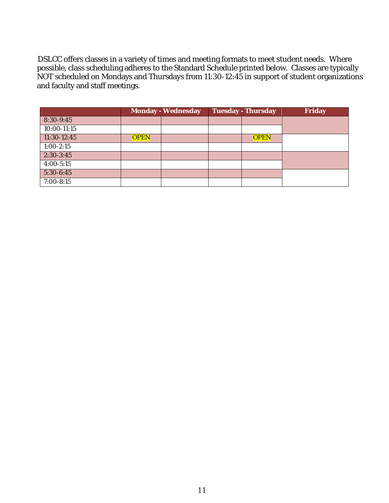DSLCC offers classes in a variety of times and meeting formats to meet student needs. Where possible, class scheduling adheres to the Standard Schedule printed below. Classes are typically NOT scheduled on Mondays and Thursdays from 11:30-12:45 in support of student organizations and faculty and staff meetings.

|               |             | <b>Monday - Wednesday</b> | <b>Tuesday - Thursday</b> | Friday |
|---------------|-------------|---------------------------|---------------------------|--------|
| 8:30-9:45     |             |                           |                           |        |
| 10:00-11:15   |             |                           |                           |        |
| 11:30-12:45   | <b>OPEN</b> |                           | <b>OPEN</b>               |        |
| $1:00 - 2:15$ |             |                           |                           |        |
| $2:30-3:45$   |             |                           |                           |        |
| $4:00 - 5:15$ |             |                           |                           |        |
| $5:30-6:45$   |             |                           |                           |        |
| 7:00-8:15     |             |                           |                           |        |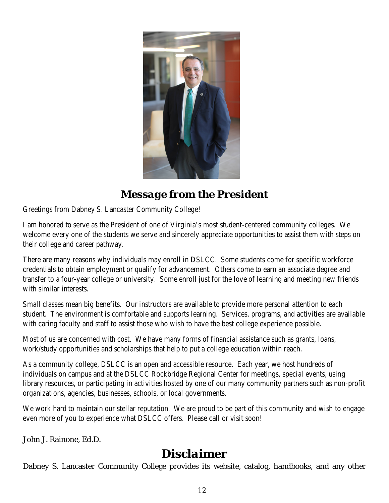

## *Message from the President*

Greetings from Dabney S. Lancaster Community College!

I am honored to serve as the President of one of Virginia's most student-centered community colleges. We welcome every one of the students we serve and sincerely appreciate opportunities to assist them with steps on their college and career pathway.

There are many reasons why individuals may enroll in DSLCC. Some students come for specific workforce credentials to obtain employment or qualify for advancement. Others come to earn an associate degree and transfer to a four-year college or university. Some enroll just for the love of learning and meeting new friends with similar interests.

Small classes mean big benefits. Our instructors are available to provide more personal attention to each student. The environment is comfortable and supports learning. Services, programs, and activities are available with caring faculty and staff to assist those who wish to have the best college experience possible.

Most of us are concerned with cost. We have many forms of financial assistance such as grants, loans, work/study opportunities and scholarships that help to put a college education within reach.

As a *community* college, DSLCC is an open and accessible resource. Each year, we host hundreds of individuals on campus and at the DSLCC Rockbridge Regional Center for meetings, special events, using library resources, or participating in activities hosted by one of our many community partners such as non-profit organizations, agencies, businesses, schools, or local governments.

We work hard to maintain our stellar reputation. We are proud to be part of this community and wish to engage even more of you to experience what DSLCC offers. Please call or visit soon!

John J. Rainone, Ed.D.

# *Disclaimer*

Dabney S. Lancaster Community College provides its website, catalog, handbooks, and any other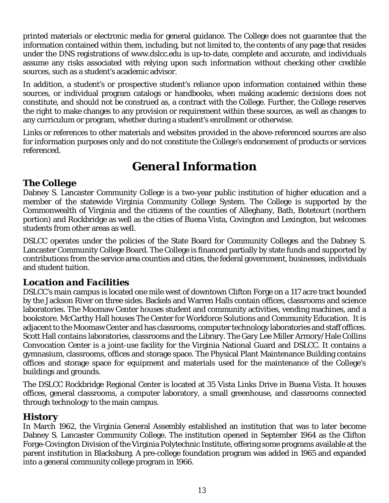printed materials or electronic media for general guidance. The College does not guarantee that the information contained within them, including, but not limited to, the contents of any page that resides under the DNS registrations of www.dslcc.edu is up-to-date, complete and accurate, and individuals assume any risks associated with relying upon such information without checking other credible sources, such as a student's academic advisor.

In addition, a student's or prospective student's reliance upon information contained within these sources, or individual program catalogs or handbooks, when making academic decisions does not constitute, and should not be construed as, a contract with the College. Further, the College reserves the right to make changes to any provision or requirement within these sources, as well as changes to any curriculum or program, whether during a student's enrollment or otherwise.

Links or references to other materials and websites provided in the above-referenced sources are also for information purposes only and do not constitute the College's endorsement of products or services referenced.

# *General Information*

## *The College*

Dabney S. Lancaster Community College is a two-year public institution of higher education and a member of the statewide Virginia Community College System. The College is supported by the Commonwealth of Virginia and the citizens of the counties of Alleghany, Bath, Botetourt (northern portion) and Rockbridge as well as the cities of Buena Vista, Covington and Lexington, but welcomes students from other areas as well.

DSLCC operates under the policies of the State Board for Community Colleges and the Dabney S. Lancaster Community College Board. The College is financed partially by state funds and supported by contributions from the service area counties and cities, the federal government, businesses, individuals and student tuition.

## *Location and Facilities*

DSLCC's main campus is located one mile west of downtown Clifton Forge on a 117 acre tract bounded by the Jackson River on three sides. Backels and Warren Halls contain offices, classrooms and science laboratories. The Moomaw Center houses student and community activities, vending machines, and a bookstore. McCarthy Hall houses The Center for Workforce Solutions and Community Education. It is adjacent to the Moomaw Center and has classrooms, computer technology laboratories and staff offices. Scott Hall contains laboratories, classrooms and the Library. The Gary Lee Miller Armory/Hale Collins Convocation Center is a joint-use facility for the Virginia National Guard and DSLCC. It contains a gymnasium, classrooms, offices and storage space. The Physical Plant Maintenance Building contains offices and storage space for equipment and materials used for the maintenance of the College's buildings and grounds.

The DSLCC Rockbridge Regional Center is located at 35 Vista Links Drive in Buena Vista. It houses offices, general classrooms, a computer laboratory, a small greenhouse, and classrooms connected through technology to the main campus.

## *History*

In March 1962, the Virginia General Assembly established an institution that was to later become Dabney S. Lancaster Community College. The institution opened in September 1964 as the Clifton Forge-Covington Division of the Virginia Polytechnic Institute, offering some programs available at the parent institution in Blacksburg. A pre-college foundation program was added in 1965 and expanded into a general community college program in 1966.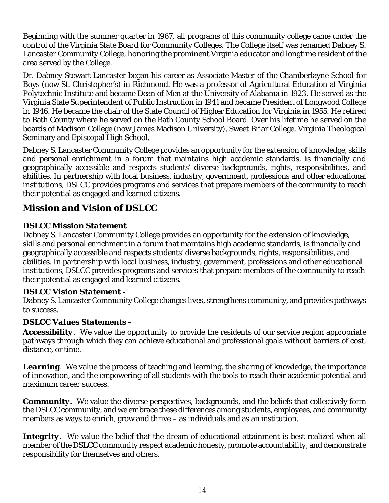Beginning with the summer quarter in 1967, all programs of this community college came under the control of the Virginia State Board for Community Colleges. The College itself was renamed Dabney S. Lancaster Community College, honoring the prominent Virginia educator and longtime resident of the area served by the College.

Dr. Dabney Stewart Lancaster began his career as Associate Master of the Chamberlayne School for Boys (now St. Christopher's) in Richmond. He was a professor of Agricultural Education at Virginia Polytechnic Institute and became Dean of Men at the University of Alabama in 1923. He served as the Virginia State Superintendent of Public Instruction in 1941 and became President of Longwood College in 1946. He became the chair of the State Council of Higher Education for Virginia in 1955. He retired to Bath County where he served on the Bath County School Board. Over his lifetime he served on the boards of Madison College (now James Madison University), Sweet Briar College, Virginia Theological Seminary and Episcopal High School.

Dabney S. Lancaster Community College provides an opportunity for the extension of knowledge, skills and personal enrichment in a forum that maintains high academic standards, is financially and geographically accessible and respects students' diverse backgrounds, rights, responsibilities, and abilities. In partnership with local business, industry, government, professions and other educational institutions, DSLCC provides programs and services that prepare members of the community to reach their potential as engaged and learned citizens.

## *Mission and Vision of DSLCC*

## *DSLCC Mission Statement*

Dabney S. Lancaster Community College provides an opportunity for the extension of knowledge, skills and personal enrichment in a forum that maintains high academic standards, is financially and geographically accessible and respects students' diverse backgrounds, rights, responsibilities, and abilities. In partnership with local business, industry, government, professions and other educational institutions, DSLCC provides programs and services that prepare members of the community to reach their potential as engaged and learned citizens.

#### *DSLCC Vision Statement -*

Dabney S. Lancaster Community College changes lives, strengthens community, and provides pathways to success.

#### *DSLCC Values Statements -*

*Accessibility*. We value the opportunity to provide the residents of our service region appropriate pathways through which they can achieve educational and professional goals without barriers of cost, distance, or time.

*Learning.* We value the process of teaching and learning, the sharing of knowledge, the importance of innovation, and the empowering of all students with the tools to reach their academic potential and maximum career success.

*Community***.** We value the diverse perspectives, backgrounds, and the beliefs that collectively form the DSLCC community, and we embrace these differences among students, employees, and community members as ways to enrich, grow and thrive – as individuals and as an institution.

Integrity. We value the belief that the dream of educational attainment is best realized when all member of the DSLCC community respect academic honesty, promote accountability, and demonstrate responsibility for themselves and others.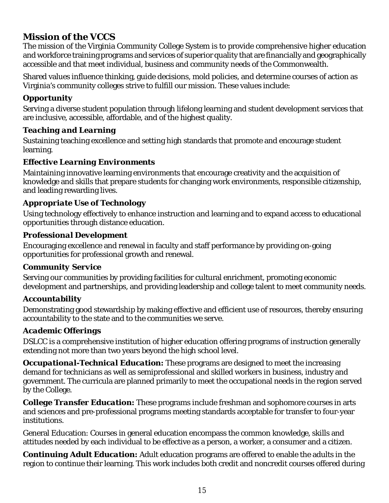## *Mission of the VCCS*

The mission of the Virginia Community College System is to provide comprehensive higher education and workforce training programs and services of superior quality that are financially and geographically accessible and that meet individual, business and community needs of the Commonwealth.

Shared values influence thinking, guide decisions, mold policies, and determine courses of action as Virginia's community colleges strive to fulfill our mission. These values include:

## *Opportunity*

Serving a diverse student population through lifelong learning and student development services that are inclusive, accessible, affordable, and of the highest quality.

#### *Teaching and Learning*

Sustaining teaching excellence and setting high standards that promote and encourage student learning.

## *Effective Learning Environments*

Maintaining innovative learning environments that encourage creativity and the acquisition of knowledge and skills that prepare students for changing work environments, responsible citizenship, and leading rewarding lives.

#### *Appropriate Use of Technology*

Using technology effectively to enhance instruction and learning and to expand access to educational opportunities through distance education.

#### *Professional Development*

Encouraging excellence and renewal in faculty and staff performance by providing on-going opportunities for professional growth and renewal.

#### *Community Service*

Serving our communities by providing facilities for cultural enrichment, promoting economic development and partnerships, and providing leadership and college talent to meet community needs.

#### *Accountability*

Demonstrating good stewardship by making effective and efficient use of resources, thereby ensuring accountability to the state and to the communities we serve.

#### *Academic Offerings*

DSLCC is a comprehensive institution of higher education offering programs of instruction generally extending not more than two years beyond the high school level.

*Occupational-Technical Education:* These programs are designed to meet the increasing demand for technicians as well as semiprofessional and skilled workers in business, industry and government. The curricula are planned primarily to meet the occupational needs in the region served by the College.

*College Transfer Education***:** These programs include freshman and sophomore courses in arts and sciences and pre-professional programs meeting standards acceptable for transfer to four-year institutions.

General Education: Courses in general education encompass the common knowledge, skills and attitudes needed by each individual to be effective as a person, a worker, a consumer and a citizen.

*Continuing Adult Education:* Adult education programs are offered to enable the adults in the region to continue their learning. This work includes both credit and noncredit courses offered during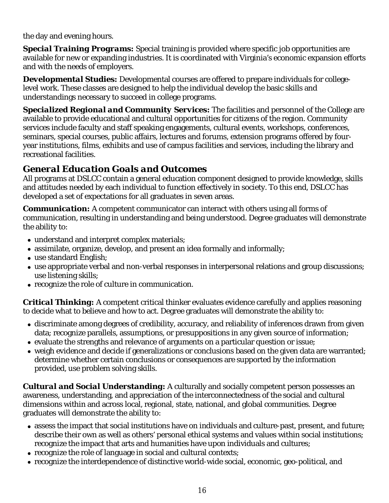the day and evening hours.

*Special Training Programs:* Special training is provided where specific job opportunities are available for new or expanding industries. It is coordinated with Virginia's economic expansion efforts and with the needs of employers.

*Developmental Studies:* Developmental courses are offered to prepare individuals for collegelevel work. These classes are designed to help the individual develop the basic skills and understandings necessary to succeed in college programs.

*Specialized Regional and Community Services:* The facilities and personnel of the College are available to provide educational and cultural opportunities for citizens of the region. Community services include faculty and staff speaking engagements, cultural events, workshops, conferences, seminars, special courses, public affairs, lectures and forums, extension programs offered by fouryear institutions, films, exhibits and use of campus facilities and services, including the library and recreational facilities.

## *General Education Goals and Outcomes*

All programs at DSLCC contain a general education component designed to provide knowledge, skills and attitudes needed by each individual to function effectively in society. To this end, DSLCC has developed a set of expectations for all graduates in seven areas.

*Communication***:** A competent communicator can interact with others using all forms of communication, resulting in understanding and being understood. Degree graduates will demonstrate the ability to:

- understand and interpret complex materials;
- assimilate, organize, develop, and present an idea formally and informally;
- use standard English;
- use appropriate verbal and non-verbal responses in interpersonal relations and group discussions; use listening skills;
- recognize the role of culture in communication.

*Critical Thinking:* A competent critical thinker evaluates evidence carefully and applies reasoning to decide what to believe and how to act. Degree graduates will demonstrate the ability to:

- discriminate among degrees of credibility, accuracy, and reliability of inferences drawn from given data; recognize parallels, assumptions, or presuppositions in any given source of information;
- evaluate the strengths and relevance of arguments on a particular question or issue;
- weigh evidence and decide if generalizations or conclusions based on the given data are warranted; determine whether certain conclusions or consequences are supported by the information provided, use problem solving skills.

*Cultural and Social Understanding:* A culturally and socially competent person possesses an awareness, understanding, and appreciation of the interconnectedness of the social and cultural dimensions within and across local, regional, state, national, and global communities. Degree graduates will demonstrate the ability to:

- assess the impact that social institutions have on individuals and culture-past, present, and future; describe their own as well as others' personal ethical systems and values within social institutions; recognize the impact that arts and humanities have upon individuals and cultures;
- recognize the role of language in social and cultural contexts;
- recognize the interdependence of distinctive world-wide social, economic, geo-political, and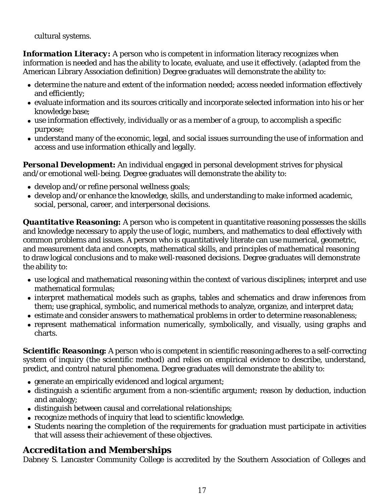cultural systems.

**Information Literacy:** A person who is competent in information literacy recognizes when information is needed and has the ability to locate, evaluate, and use it effectively. (adapted from the American Library Association definition) Degree graduates will demonstrate the ability to:

- determine the nature and extent of the information needed; access needed information effectively and efficiently;
- evaluate information and its sources critically and incorporate selected information into his or her knowledge base;
- use information effectively, individually or as a member of a group, to accomplish a specific purpose;
- understand many of the economic, legal, and social issues surrounding the use of information and access and use information ethically and legally.

**Personal Development:** An individual engaged in personal development strives for physical and/or emotional well-being. Degree graduates will demonstrate the ability to:

- develop and/or refine personal wellness goals;
- develop and/or enhance the knowledge, skills, and understanding to make informed academic, social, personal, career, and interpersonal decisions.

**Quantitative Reasoning:** A person who is competent in quantitative reasoning possesses the skills and knowledge necessary to apply the use of logic, numbers, and mathematics to deal effectively with common problems and issues. A person who is quantitatively literate can use numerical, geometric, and measurement data and concepts, mathematical skills, and principles of mathematical reasoning to draw logical conclusions and to make well-reasoned decisions. Degree graduates will demonstrate the ability to:

- use logical and mathematical reasoning within the context of various disciplines; interpret and use mathematical formulas;
- interpret mathematical models such as graphs, tables and schematics and draw inferences from them; use graphical, symbolic, and numerical methods to analyze, organize, and interpret data;
- estimate and consider answers to mathematical problems in order to determine reasonableness;
- represent mathematical information numerically, symbolically, and visually, using graphs and charts.

*Scientific Reasonin***g:** A person who is competent in scientific reasoning adheres to a self-correcting system of inquiry (the scientific method) and relies on empirical evidence to describe, understand, predict, and control natural phenomena. Degree graduates will demonstrate the ability to:

- $\bullet$  generate an empirically evidenced and logical argument;
- distinguish a scientific argument from a non-scientific argument; reason by deduction, induction and analogy;
- distinguish between causal and correlational relationships;
- recognize methods of inquiry that lead to scientific knowledge.
- Students nearing the completion of the requirements for graduation must participate in activities that will assess their achievement of these objectives.

## *Accreditation and Memberships*

Dabney S. Lancaster Community College is accredited by the Southern Association of Colleges and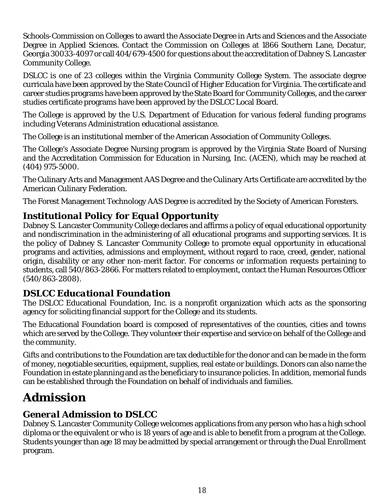Schools-Commission on Colleges to award the Associate Degree in Arts and Sciences and the Associate Degree in Applied Sciences. Contact the Commission on Colleges at 1866 Southern Lane, Decatur, Georgia 30033-4097 or call 404/679-4500 for questions about the accreditation of Dabney S. Lancaster Community College.

DSLCC is one of 23 colleges within the Virginia Community College System. The associate degree curricula have been approved by the State Council of Higher Education for Virginia. The certificate and career studies programs have been approved by the State Board for Community Colleges, and the career studies certificate programs have been approved by the DSLCC Local Board.

The College is approved by the U.S. Department of Education for various federal funding programs including Veterans Administration educational assistance.

The College is an institutional member of the American Association of Community Colleges.

The College's Associate Degree Nursing program is approved by the Virginia State Board of Nursing and the Accreditation Commission for Education in Nursing, Inc. (ACEN), which may be reached at (404) 975-5000.

The Culinary Arts and Management AAS Degree and the Culinary Arts Certificate are accredited by the American Culinary Federation.

The Forest Management Technology AAS Degree is accredited by the Society of American Foresters.

## *Institutional Policy for Equal Opportunity*

Dabney S. Lancaster Community College declares and affirms a policy of equal educational opportunity and nondiscrimination in the administering of all educational programs and supporting services. It is the policy of Dabney S. Lancaster Community College to promote equal opportunity in educational programs and activities, admissions and employment, without regard to race, creed, gender, national origin, disability or any other non-merit factor. For concerns or information requests pertaining to students, call 540/863-2866. For matters related to employment, contact the Human Resources Officer (540/863-2808).

## *DSLCC Educational Foundation*

The DSLCC Educational Foundation, Inc. is a nonprofit organization which acts as the sponsoring agency for soliciting financial support for the College and its students.

The Educational Foundation board is composed of representatives of the counties, cities and towns which are served by the College. They volunteer their expertise and service on behalf of the College and the community.

Gifts and contributions to the Foundation are tax deductible for the donor and can be made in the form of money, negotiable securities, equipment, supplies, real estate or buildings. Donors can also name the Foundation in estate planning and as the beneficiary to insurance policies. In addition, memorial funds can be established through the Foundation on behalf of individuals and families.

# *Admission*

## *General Admission to DSLCC*

Dabney S. Lancaster Community College welcomes applications from any person who has a high school diploma or the equivalent or who is 18 years of age and is able to benefit from a program at the College. Students younger than age 18 may be admitted by special arrangement or through the Dual Enrollment program.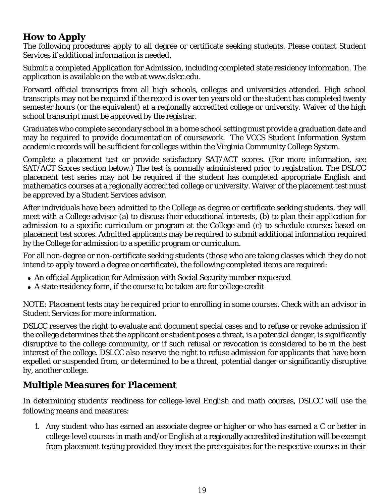## *How to Apply*

The following procedures apply to all degree or certificate seeking students. Please contact Student Services if additional information is needed.

Submit a completed Application for Admission, including completed state residency information. The application is available on the web at www.dslcc.edu.

Forward official transcripts from all high schools, colleges and universities attended. High school transcripts may not be required if the record is over ten years old or the student has completed twenty semester hours (or the equivalent) at a regionally accredited college or university. Waiver of the high school transcript must be approved by the registrar.

Graduates who complete secondary school in a home school setting must provide a graduation date and may be required to provide documentation of coursework. The VCCS Student Information System academic records will be sufficient for colleges within the Virginia Community College System.

Complete a placement test or provide satisfactory SAT/ACT scores. (For more information, see SAT/ACT Scores section below.) The test is normally administered prior to registration. The DSLCC placement test series may not be required if the student has completed appropriate English and mathematics courses at a regionally accredited college or university. Waiver of the placement test must be approved by a Student Services advisor.

After individuals have been admitted to the College as degree or certificate seeking students, they will meet with a College advisor (a) to discuss their educational interests, (b) to plan their application for admission to a specific curriculum or program at the College and (c) to schedule courses based on placement test scores. Admitted applicants may be required to submit additional information required by the College for admission to a specific program or curriculum.

For all non-degree or non-certificate seeking students (those who are taking classes which they do not intend to apply toward a degree or certificate), the following completed items are required:

- An official Application for Admission with Social Security number requested
- A state residency form, if the course to be taken are for college credit

#### *NOTE: Placement tests may be required prior to enrolling in some courses. Check with an advisor in Student Services for more information.*

DSLCC reserves the right to evaluate and document special cases and to refuse or revoke admission if the college determines that the applicant or student poses a threat, is a potential danger, is significantly disruptive to the college community, or if such refusal or revocation is considered to be in the best interest of the college. DSLCC also reserve the right to refuse admission for applicants that have been expelled or suspended from, or determined to be a threat, potential danger or significantly disruptive by, another college.

## *Multiple Measures for Placement*

In determining students' readiness for college-level English and math courses, DSLCC will use the following means and measures:

1. Any student who has earned an associate degree or higher or who has earned a C or better in college-level courses in math and/or English at a regionally accredited institution will be exempt from placement testing provided they meet the prerequisites for the respective courses in their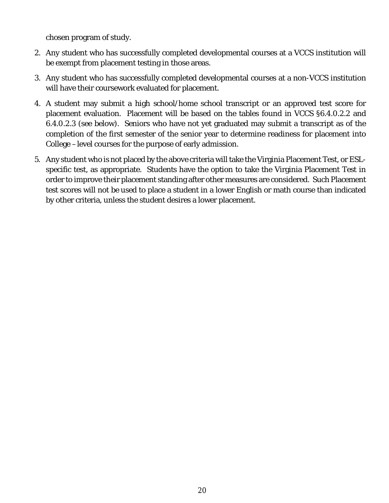chosen program of study.

- 2. Any student who has successfully completed developmental courses at a VCCS institution will be exempt from placement testing in those areas.
- 3. Any student who has successfully completed developmental courses at a non-VCCS institution will have their coursework evaluated for placement.
- 4. A student may submit a high school/home school transcript or an approved test score for placement evaluation. Placement will be based on the tables found in VCCS §6.4.0.2.2 and 6.4.0.2.3 (see below). Seniors who have not yet graduated may submit a transcript as of the completion of the first semester of the senior year to determine readiness for placement into College –level courses for the purpose of early admission.
- 5. Any student who is not placed by the above criteria will take the Virginia Placement Test, or ESLspecific test, as appropriate. Students have the option to take the Virginia Placement Test in order to improve their placement standing after other measures are considered. Such Placement test scores will not be used to place a student in a lower English or math course than indicated by other criteria, unless the student desires a lower placement.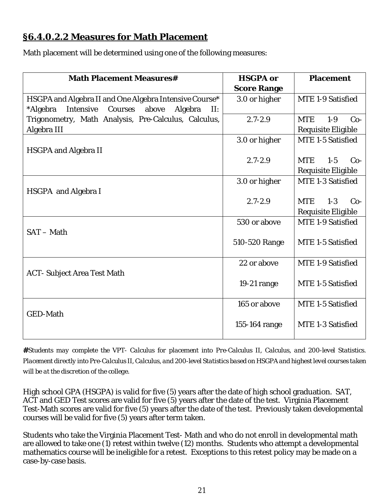## **§6.4.0.2.2 Measures for Math Placement**

Math placement will be determined using one of the following measures:

| <b>Math Placement Measures#</b>                                 | <b>HSGPA or</b>    | <b>Placement</b>               |  |
|-----------------------------------------------------------------|--------------------|--------------------------------|--|
|                                                                 | <b>Score Range</b> |                                |  |
| HSGPA and Algebra II and One Algebra Intensive Course*          | 3.0 or higher      | MTE 1-9 Satisfied              |  |
| *Algebra<br>Intensive<br>Courses<br>above<br>Algebra<br>$\Pi$ : |                    |                                |  |
| Trigonometry, Math Analysis, Pre-Calculus, Calculus,            | $2.7 - 2.9$        | <b>MTE</b><br>$1-9$<br>$Co-$   |  |
| Algebra III                                                     |                    | Requisite Eligible             |  |
|                                                                 | 3.0 or higher      | MTE 1-5 Satisfied              |  |
| <b>HSGPA and Algebra II</b>                                     |                    |                                |  |
|                                                                 | $2.7 - 2.9$        | MTE.<br>$1 - 5$<br>$Co-$       |  |
|                                                                 |                    | Requisite Eligible             |  |
|                                                                 | 3.0 or higher      | MTE 1-3 Satisfied              |  |
| HSGPA and Algebra I                                             |                    |                                |  |
|                                                                 | $2.7 - 2.9$        | <b>MTE</b><br>$1 - 3$<br>$Co-$ |  |
|                                                                 |                    | Requisite Eligible             |  |
|                                                                 | 530 or above       | MTE 1-9 Satisfied              |  |
| SAT - Math                                                      |                    |                                |  |
|                                                                 | 510-520 Range      | MTE 1-5 Satisfied              |  |
|                                                                 |                    |                                |  |
|                                                                 | 22 or above        | MTE 1-9 Satisfied              |  |
| <b>ACT-Subject Area Test Math</b>                               |                    |                                |  |
|                                                                 | 19-21 range        | MTE 1-5 Satisfied              |  |
|                                                                 |                    |                                |  |
|                                                                 | 165 or above       | MTE 1-5 Satisfied              |  |
| <b>GED-Math</b>                                                 |                    |                                |  |
|                                                                 | 155-164 range      | MTE 1-3 Satisfied              |  |
|                                                                 |                    |                                |  |

**#***Students may complete the VPT- Calculus for placement into Pre-Calculus II, Calculus, and 200-level Statistics. Placement directly into Pre-Calculus II, Calculus, and 200-level Statistics based on HSGPA and highest level courses taken will be at the discretion of the college.*

High school GPA (HSGPA) is valid for five (5) years after the date of high school graduation. SAT, ACT and GED Test scores are valid for five (5) years after the date of the test. Virginia Placement Test-Math scores are valid for five (5) years after the date of the test. Previously taken developmental courses will be valid for five (5) years after term taken.

Students who take the Virginia Placement Test- Math and who do not enroll in developmental math are allowed to take one (1) retest within twelve (12) months. Students who attempt a developmental mathematics course will be ineligible for a retest. Exceptions to this retest policy may be made on a case-by-case basis.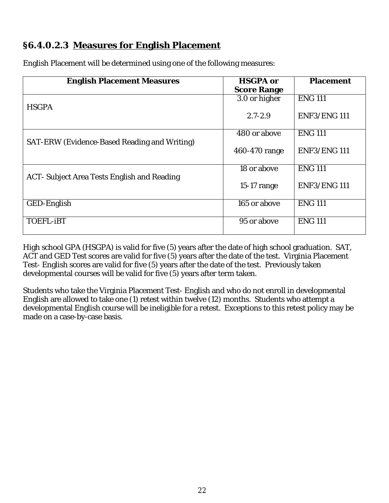## **§6.4.0.2.3 Measures for English Placement**

| <b>English Placement Measures</b>            | <b>HSGPA or</b>    | <b>Placement</b>   |
|----------------------------------------------|--------------------|--------------------|
|                                              | <b>Score Range</b> |                    |
|                                              | 3.0 or higher      | <b>ENG 111</b>     |
| <b>HSGPA</b>                                 | $2.7 - 2.9$        | ENF3/ENG111        |
|                                              | 480 or above       | <b>ENG 111</b>     |
| SAT-ERW (Evidence-Based Reading and Writing) | 460-470 range      | ENF3/ENG111        |
|                                              | 18 or above        | <b>ENG 111</b>     |
| ACT- Subject Area Tests English and Reading  | $15-17$ range      | <b>ENF3/ENG111</b> |
| GED-English                                  | 165 or above       | <b>ENG 111</b>     |
| <b>TOEFL-IBT</b>                             | 95 or above        | <b>ENG 111</b>     |
|                                              |                    |                    |

English Placement will be determined using one of the following measures:

High school GPA (HSGPA) is valid for five (5) years after the date of high school graduation. SAT, ACT and GED Test scores are valid for five (5) years after the date of the test. Virginia Placement Test- English scores are valid for five (5) years after the date of the test. Previously taken developmental courses will be valid for five (5) years after term taken.

Students who take the Virginia Placement Test- English and who do not enroll in developmental English are allowed to take one (1) retest within twelve (12) months. Students who attempt a developmental English course will be ineligible for a retest. Exceptions to this retest policy may be made on a case-by-case basis.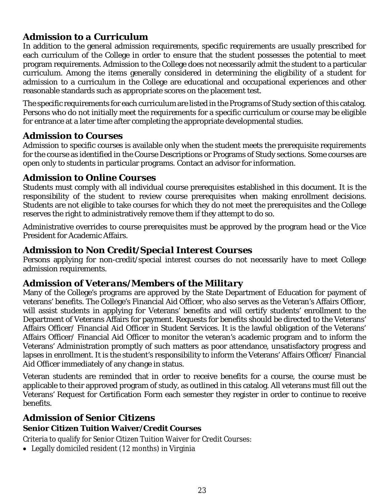## *Admission to a Curriculum*

In addition to the general admission requirements, specific requirements are usually prescribed for each curriculum of the College in order to ensure that the student possesses the potential to meet program requirements. Admission to the College does not necessarily admit the student to a particular curriculum. Among the items generally considered in determining the eligibility of a student for admission to a curriculum in the College are educational and occupational experiences and other reasonable standards such as appropriate scores on the placement test.

The specific requirements for each curriculum are listed in the Programs of Study section of this catalog. Persons who do not initially meet the requirements for a specific curriculum or course may be eligible for entrance at a later time after completing the appropriate developmental studies.

## *Admission to Courses*

Admission to specific courses is available only when the student meets the prerequisite requirements for the course as identified in the Course Descriptions or Programs of Study sections. Some courses are open only to students in particular programs. Contact an advisor for information.

## *Admission to Online Courses*

Students must comply with all individual course prerequisites established in this document. It is the responsibility of the student to review course prerequisites when making enrollment decisions. Students are not eligible to take courses for which they do not meet the prerequisites and the College reserves the right to administratively remove them if they attempt to do so.

Administrative overrides to course prerequisites must be approved by the program head or the Vice President for Academic Affairs.

## *Admission to Non Credit/Special Interest Courses*

Persons applying for non-credit/special interest courses do not necessarily have to meet College admission requirements.

## *Admission of Veterans/Members of the Military*

Many of the College's programs are approved by the State Department of Education for payment of veterans' benefits. The College's Financial Aid Officer, who also serves as the Veteran's Affairs Officer, will assist students in applying for Veterans' benefits and will certify students' enrollment to the Department of Veterans Affairs for payment. Requests for benefits should be directed to the Veterans' Affairs Officer/ Financial Aid Officer in Student Services. It is the lawful obligation of the Veterans' Affairs Officer/ Financial Aid Officer to monitor the veteran's academic program and to inform the Veterans' Administration promptly of such matters as poor attendance, unsatisfactory progress and lapses in enrollment. It is the student's responsibility to inform the Veterans' Affairs Officer/ Financial Aid Officer immediately of any change in status.

Veteran students are reminded that in order to receive benefits for a course, the course must be applicable to their approved program of study, as outlined in this catalog. All veterans must fill out the Veterans' Request for Certification Form each semester they register in order to continue to receive benefits.

## *Admission of Senior Citizens*

#### **Senior Citizen Tuition Waiver/Credit Courses**

Criteria to qualify for Senior Citizen Tuition Waiver for Credit Courses:

Legally domiciled resident (12 months) in Virginia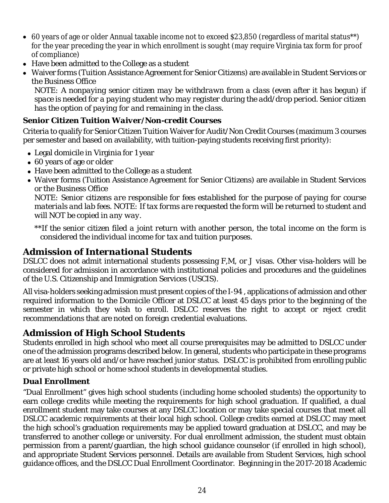- 60 years of age or older Annual taxable income not to exceed \$23,850 (regardless of marital status\*\*) for the year preceding the year in which enrollment is sought (may require Virginia tax form for proof of compliance)
- Have been admitted to the College as a student
- Waiver forms (Tuition Assistance Agreement for Senior Citizens) are available in Student Services or the Business Office

*NOTE: A nonpaying senior citizen may be withdrawn from a class (even after it has begun) if space is needed for a paying student who may register during the add/drop period. Senior citizen has the option of paying for and remaining in the class.*

#### *Senior Citizen Tuition Waiver/Non-credit Courses*

Criteria to qualify for Senior Citizen Tuition Waiver for Audit/Non Credit Courses (maximum 3 courses per semester and based on availability, with tuition-paying students receiving first priority):

- Legal domicile in Virginia for 1 year
- 60 years of age or older
- Have been admitted to the College as a student
- Waiver forms (Tuition Assistance Agreement for Senior Citizens) are available in Student Services or the Business Office

*NOTE: Senior citizens are responsible for fees established for the purpose of paying for course materials and lab fees. NOTE: If tax forms are requested the form will be returned to student and will NOT be copied in any way.*

*\*\*If the senior citizen filed a joint return with another person, the total income on the form is considered the individual income for tax and tuition purposes.*

## *Admission of International Students*

DSLCC does not admit international students possessing F,M, or J visas. Other visa-holders will be considered for admission in accordance with institutional policies and procedures and the guidelines of the U.S. Citizenship and Immigration Services (USCIS).

All visa-holders seeking admission must present copies of the I-94 , applications of admission and other required information to the Domicile Officer at DSLCC at least 45 days prior to the beginning of the semester in which they wish to enroll. DSLCC reserves the right to accept or reject credit recommendations that are noted on foreign credential evaluations.

## *Admission of High School Students*

Students enrolled in high school who meet all course prerequisites may be admitted to DSLCC under one of the admission programs described below. In general, students who participate in these programs are at least 16 years old and/or have reached junior status. DSLCC is prohibited from enrolling public or private high school or home school students in developmental studies.

#### *Dual Enrollment*

"Dual Enrollment" gives high school students (including home schooled students) the opportunity to earn college credits while meeting the requirements for high school graduation. If qualified, a dual enrollment student may take courses at any DSLCC location or may take special courses that meet all DSLCC academic requirements at their local high school. College credits earned at DSLCC may meet the high school's graduation requirements may be applied toward graduation at DSLCC, and may be transferred to another college or university. For dual enrollment admission, the student must obtain permission from a parent/guardian, the high school guidance counselor (if enrolled in high school), and appropriate Student Services personnel. Details are available from Student Services, high school guidance offices, and the DSLCC Dual Enrollment Coordinator. Beginning in the 2017-2018 Academic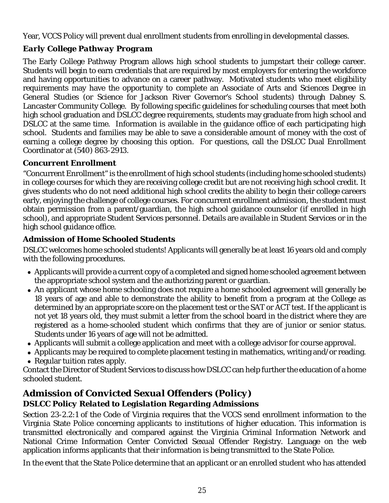Year, VCCS Policy will prevent dual enrollment students from enrolling in developmental classes.

## *Early College Pathway Program*

The Early College Pathway Program allows high school students to jumpstart their college career. Students will begin to earn credentials that are required by most employers for entering the workforce and having opportunities to advance on a career pathway. Motivated students who meet eligibility requirements may have the opportunity to complete an Associate of Arts and Sciences Degree in General Studies (or Science for Jackson River Governor's School students) through Dabney S. Lancaster Community College. By following specific guidelines for scheduling courses that meet both high school graduation and DSLCC degree requirements, students may graduate from high school and DSLCC at the same time. Information is available in the guidance office of each participating high school. Students and families may be able to save a considerable amount of money with the cost of earning a college degree by choosing this option. For questions, call the DSLCC Dual Enrollment Coordinator at (540) 863-2913.

#### *Concurrent Enrollment*

"Concurrent Enrollment" is the enrollment of high school students (including home schooled students) in college courses for which they are receiving college credit but are not receiving high school credit. It gives students who do not need additional high school credits the ability to begin their college careers early, enjoying the challenge of college courses. For concurrent enrollment admission, the student must obtain permission from a parent/guardian, the high school guidance counselor (if enrolled in high school), and appropriate Student Services personnel. Details are available in Student Services or in the high school guidance office.

#### *Admission of Home Schooled Students*

DSLCC welcomes home schooled students! Applicants will generally be at least 16 years old and comply with the following procedures.

- Applicants will provide a current copy of a completed and signed home schooled agreement between the appropriate school system and the authorizing parent or guardian.
- An applicant whose home schooling does not require a home schooled agreement will generally be 18 years of age and able to demonstrate the ability to benefit from a program at the College as determined by an appropriate score on the placement test or the SAT or ACT test. If the applicant is not yet 18 years old, they must submit a letter from the school board in the district where they are registered as a home-schooled student which confirms that they are of junior or senior status. Students under 16 years of age will not be admitted.
- Applicants will submit a college application and meet with a college advisor for course approval.
- Applicants may be required to complete placement testing in mathematics, writing and/or reading.
- Regular tuition rates apply.

Contact the Director of Student Services to discuss how DSLCC can help further the education of a home schooled student.

## *Admission of Convicted Sexual Offenders (Policy) DSLCC Policy Related to Legislation Regarding Admissions*

Section 23-2.2:1 of the Code of Virginia requires that the VCCS send enrollment information to the Virginia State Police concerning applicants to institutions of higher education. This information is transmitted electronically and compared against the Virginia Criminal Information Network and National Crime Information Center Convicted Sexual Offender Registry. Language on the web application informs applicants that their information is being transmitted to the State Police.

In the event that the State Police determine that an applicant or an enrolled student who has attended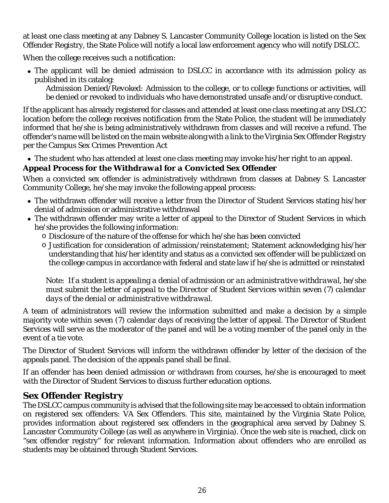at least one class meeting at any Dabney S. Lancaster Community College location is listed on the Sex Offender Registry, the State Police will notify a local law enforcement agency who will notify DSLCC.

When the college receives such a notification:

 The applicant will be denied admission to DSLCC in accordance with its admission policy as published in its catalog:

*Admission Denied/Revoked:* Admission to the college, or to college functions or activities, will be denied or revoked to individuals who have demonstrated unsafe and/or disruptive conduct.

If the applicant has already registered for classes and attended at least one class meeting at any DSLCC location before the college receives notification from the State Police, the student will be immediately informed that he/she is being administratively withdrawn from classes and will receive a refund. The offender's name will be listed on the main website along with a link to the Virginia Sex Offender Registry per the Campus Sex Crimes Prevention Act

The student who has attended at least one class meeting may invoke his/her right to an appeal.

## *Appeal Process for the Withdrawal for a Convicted Sex Offender*

When a convicted sex offender is administratively withdrawn from classes at Dabney S. Lancaster Community College, he/she may invoke the following appeal process:

- The withdrawn offender will receive a letter from the Director of Student Services stating his/her denial of admission or administrative withdrawal
- The withdrawn offender may write a letter of appeal to the Director of Student Services in which he/she provides the following information:
	- o Disclosure of the nature of the offense for which he/she has been convicted
	- o Justification for consideration of admission/reinstatement; Statement acknowledging his/her understanding that his/her identity and status as a convicted sex offender will be publicized on the college campus in accordance with federal and state law if he/she is admitted or reinstated

*Note: If a student is appealing a denial of admission or an administrative withdrawal, he/she must submit the letter of appeal to the Director of Student Services within seven (7) calendar days of the denial or administrative withdrawal.*

A team of administrators will review the information submitted and make a decision by a simple majority vote within seven (7) calendar days of receiving the letter of appeal. The Director of Student Services will serve as the moderator of the panel and will be a voting member of the panel only in the event of a tie vote.

The Director of Student Services will inform the withdrawn offender by letter of the decision of the appeals panel. The decision of the appeals panel shall be final.

If an offender has been denied admission or withdrawn from courses, he/she is encouraged to meet with the Director of Student Services to discuss further education options.

## *Sex Offender Registry*

The DSLCC campus community is advised that the following site may be accessed to obtain information on registered sex offenders: VA Sex Offenders. This site, maintained by the Virginia State Police, provides information about registered sex offenders in the geographical area served by Dabney S. Lancaster Community College (as well as anywhere in Virginia). Once the web site is reached, click on "sex offender registry" for relevant information. Information about offenders who are enrolled as students may be obtained through Student Services.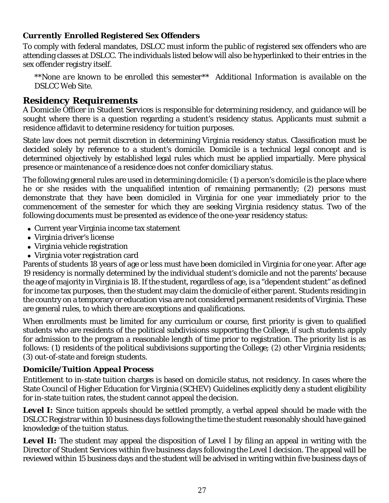#### *Currently Enrolled Registered Sex Offenders*

To comply with federal mandates, DSLCC must inform the public of registered sex offenders who are attending classes at DSLCC. The individuals listed below will also be hyperlinked to their entries in the sex offender registry itself.

*\*\*None are known to be enrolled this semester\*\* Additional Information is available on the DSLCC Web Site.*

## *Residency Requirements*

A Domicile Officer in Student Services is responsible for determining residency, and guidance will be sought where there is a question regarding a student's residency status. Applicants must submit a residence affidavit to determine residency for tuition purposes.

State law does not permit discretion in determining Virginia residency status. Classification must be decided solely by reference to a student's domicile. Domicile is a technical legal concept and is determined objectively by established legal rules which must be applied impartially. Mere physical presence or maintenance of a residence does not confer domiciliary status.

The following general rules are used in determining domicile: (1) a person's domicile is the place where he or she resides with the unqualified intention of remaining permanently; (2) persons must demonstrate that they have been domiciled in Virginia for one year immediately prior to the commencement of the semester for which they are seeking Virginia residency status. Two of the following documents must be presented as evidence of the one-year residency status:

- Current year Virginia income tax statement
- Virginia driver's license
- Virginia vehicle registration
- Virginia voter registration card

Parents of students 18 years of age or less must have been domiciled in Virginia for one year. After age 19 residency is normally determined by the individual student's domicile and not the parents' because the age of majority in Virginia is 18. If the student, regardless of age, is a "dependent student" as defined for income tax purposes, then the student may claim the domicile of either parent. Students residing in the country on a temporary or education visa are not considered permanent residents of Virginia. These are general rules, to which there are exceptions and qualifications.

When enrollments must be limited for any curriculum or course, first priority is given to qualified students who are residents of the political subdivisions supporting the College, if such students apply for admission to the program a reasonable length of time prior to registration. The priority list is as follows: (1) residents of the political subdivisions supporting the College; (2) other Virginia residents; (3) out-of-state and foreign students.

## *Domicile/Tuition Appeal Process*

Entitlement to in-state tuition charges is based on domicile status, not residency. In cases where the State Council of Higher Education for Virginia (SCHEV) Guidelines explicitly deny a student eligibility for in-state tuition rates, the student cannot appeal the decision.

**Level I:** Since tuition appeals should be settled promptly, a verbal appeal should be made with the DSLCC Registrar within 10 business days following the time the student reasonably should have gained knowledge of the tuition status.

**Level II:** The student may appeal the disposition of Level I by filing an appeal in writing with the Director of Student Services within five business days following the Level I decision. The appeal will be reviewed within 15 business days and the student will be advised in writing within five business days of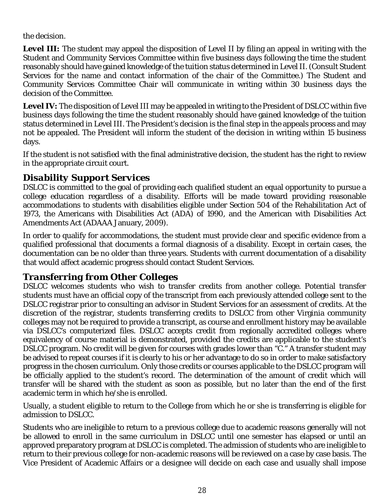the decision.

**Level III:** The student may appeal the disposition of Level II by filing an appeal in writing with the Student and Community Services Committee within five business days following the time the student reasonably should have gained knowledge of the tuition status determined in Level II. (Consult Student Services for the name and contact information of the chair of the Committee.) The Student and Community Services Committee Chair will communicate in writing within 30 business days the decision of the Committee.

Level IV: The disposition of Level III may be appealed in writing to the President of DSLCC within five business days following the time the student reasonably should have gained knowledge of the tuition status determined in Level III. The President's decision is the final step in the appeals process and may not be appealed. The President will inform the student of the decision in writing within 15 business days.

If the student is not satisfied with the final administrative decision, the student has the right to review in the appropriate circuit court.

## *Disability Support Services*

DSLCC is committed to the goal of providing each qualified student an equal opportunity to pursue a college education regardless of a disability. Efforts will be made toward providing reasonable accommodations to students with disabilities eligible under Section 504 of the Rehabilitation Act of 1973, the Americans with Disabilities Act (ADA) of 1990, and the American with Disabilities Act Amendments Act (ADAAA January, 2009).

In order to qualify for accommodations, the student must provide clear and specific evidence from a qualified professional that documents a formal diagnosis of a disability. Except in certain cases, the documentation can be no older than three years. Students with current documentation of a disability that would affect academic progress should contact Student Services.

## *Transferring from Other Colleges*

DSLCC welcomes students who wish to transfer credits from another college. Potential transfer students must have an official copy of the transcript from each previously attended college sent to the DSLCC registrar prior to consulting an advisor in Student Services for an assessment of credits. At the discretion of the registrar, students transferring credits to DSLCC from other Virginia community colleges may not be required to provide a transcript, as course and enrollment history may be available via DSLCC's computerized files. DSLCC accepts credit from regionally accredited colleges where equivalency of course material is demonstrated, provided the credits are applicable to the student's DSLCC program. No credit will be given for courses with grades lower than "C." A transfer student may be advised to repeat courses if it is clearly to his or her advantage to do so in order to make satisfactory progress in the chosen curriculum. Only those credits or courses applicable to the DSLCC program will be officially applied to the student's record. The determination of the amount of credit which will transfer will be shared with the student as soon as possible, but no later than the end of the first academic term in which he/she is enrolled.

Usually, a student eligible to return to the College from which he or she is transferring is eligible for admission to DSLCC.

Students who are ineligible to return to a previous college due to academic reasons generally will not be allowed to enroll in the same curriculum in DSLCC until one semester has elapsed or until an approved preparatory program at DSLCC is completed. The admission of students who are ineligible to return to their previous college for non-academic reasons will be reviewed on a case by case basis. The Vice President of Academic Affairs or a designee will decide on each case and usually shall impose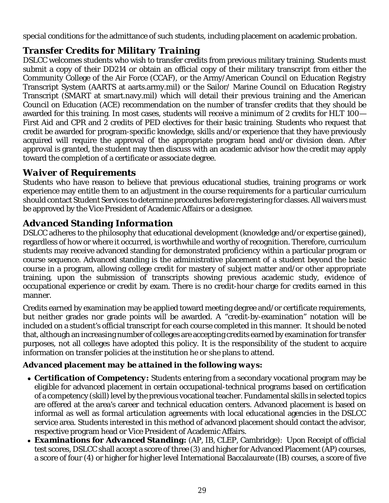special conditions for the admittance of such students, including placement on academic probation.

## *Transfer Credits for Military Training*

DSLCC welcomes students who wish to transfer credits from previous military training. Students must submit a copy of their DD214 or obtain an official copy of their military transcript from either the Community College of the Air Force (CCAF), or the Army/American Council on Education Registry Transcript System (AARTS at aarts.army.mil) or the Sailor/ Marine Council on Education Registry Transcript (SMART at smart.navy.mil) which will detail their previous training and the American Council on Education (ACE) recommendation on the number of transfer credits that they should be awarded for this training. In most cases, students will receive a minimum of 2 credits for HLT 100— First Aid and CPR and 2 credits of PED electives for their basic training. Students who request that credit be awarded for program-specific knowledge, skills and/or experience that they have previously acquired will require the approval of the appropriate program head and/or division dean. After approval is granted, the student may then discuss with an academic advisor how the credit may apply toward the completion of a certificate or associate degree.

## *Waiver of Requirements*

Students who have reason to believe that previous educational studies, training programs or work experience may entitle them to an adjustment in the course requirements for a particular curriculum should contact Student Services to determine procedures before registering for classes. All waivers must be approved by the Vice President of Academic Affairs or a designee.

## *Advanced Standing Information*

DSLCC adheres to the philosophy that educational development (knowledge and/or expertise gained), regardless of how or where it occurred, is worthwhile and worthy of recognition. Therefore, curriculum students may receive advanced standing for demonstrated proficiency within a particular program or course sequence. Advanced standing is the administrative placement of a student beyond the basic course in a program, allowing college credit for mastery of subject matter and/or other appropriate training, upon the submission of transcripts showing previous academic study, evidence of occupational experience or credit by exam. There is no credit-hour charge for credits earned in this manner.

Credits earned by examination may be applied toward meeting degree and/or certificate requirements, but neither grades nor grade points will be awarded. A "credit-by-examination" notation will be included on a student's official transcript for each course completed in this manner. It should be noted that, although an increasing number of colleges are accepting credits earned by examination for transfer purposes, not all colleges have adopted this policy. It is the responsibility of the student to acquire information on transfer policies at the institution he or she plans to attend.

## *Advanced placement may be attained in the following ways:*

- *Certification of Competency:* Students entering from a secondary vocational program may be eligible for advanced placement in certain occupational-technical programs based on certification of a competency (skill) level by the previous vocational teacher. Fundamental skills in selected topics are offered at the area's career and technical education centers. Advanced placement is based on informal as well as formal articulation agreements with local educational agencies in the DSLCC service area. Students interested in this method of advanced placement should contact the advisor, respective program head or Vice President of Academic Affairs.
- *Examinations for Advanced Standing:* (AP, IB, CLEP, Cambridge): Upon Receipt of official test scores, DSLCC shall accept a score of three (3) and higher for Advanced Placement (AP) courses, a score of four (4) or higher for higher level International Baccalaureate (IB) courses, a score of five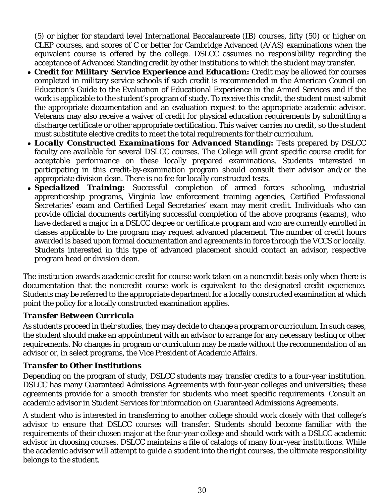(5) or higher for standard level International Baccalaureate (IB) courses, fifty (50) or higher on CLEP courses, and scores of C or better for Cambridge Advanced (A/AS) examinations when the equivalent course is offered by the college. DSLCC assumes no responsibility regarding the acceptance of Advanced Standing credit by other institutions to which the student may transfer.

- *Credit for Military Service Experience and Education:* Credit may be allowed for courses completed in military service schools if such credit is recommended in the American Council on Education's Guide to the Evaluation of Educational Experience in the Armed Services and if the work is applicable to the student's program of study. To receive this credit, the student must submit the appropriate documentation and an evaluation request to the appropriate academic advisor. Veterans may also receive a waiver of credit for physical education requirements by submitting a discharge certificate or other appropriate certification. This waiver carries no credit, so the student must substitute elective credits to meet the total requirements for their curriculum.
- *Locally Constructed Examinations for Advanced Standing:* Tests prepared by DSLCC faculty are available for several DSLCC courses. The College will grant specific course credit for acceptable performance on these locally prepared examinations. Students interested in participating in this credit-by-examination program should consult their advisor and/or the appropriate division dean. There is no fee for locally constructed tests.
- *Specialized Training:* Successful completion of armed forces schooling, industrial apprenticeship programs, Virginia law enforcement training agencies, Certified Professional Secretaries' exam and Certified Legal Secretaries' exam may merit credit. Individuals who can provide official documents certifying successful completion of the above programs (exams), who have declared a major in a DSLCC degree or certificate program and who are currently enrolled in classes applicable to the program may request advanced placement. The number of credit hours awarded is based upon formal documentation and agreements in force through the VCCS or locally. Students interested in this type of advanced placement should contact an advisor, respective program head or division dean.

The institution awards academic credit for course work taken on a noncredit basis only when there is documentation that the noncredit course work is equivalent to the designated credit experience. Students may be referred to the appropriate department for a locally constructed examination at which point the policy for a locally constructed examination applies.

#### *Transfer Between Curricula*

As students proceed in their studies, they may decide to change a program or curriculum. In such cases, the student should make an appointment with an advisor to arrange for any necessary testing or other requirements. No changes in program or curriculum may be made without the recommendation of an advisor or, in select programs, the Vice President of Academic Affairs.

#### *Transfer to Other Institutions*

Depending on the program of study, DSLCC students may transfer credits to a four-year institution. DSLCC has many Guaranteed Admissions Agreements with four-year colleges and universities; these agreements provide for a smooth transfer for students who meet specific requirements. Consult an academic advisor in Student Services for information on Guaranteed Admissions Agreements.

A student who is interested in transferring to another college should work closely with that college's advisor to ensure that DSLCC courses will transfer. Students should become familiar with the requirements of their chosen major at the four-year college and should work with a DSLCC academic advisor in choosing courses. DSLCC maintains a file of catalogs of many four-year institutions. While the academic advisor will attempt to guide a student into the right courses, the ultimate responsibility belongs to the student.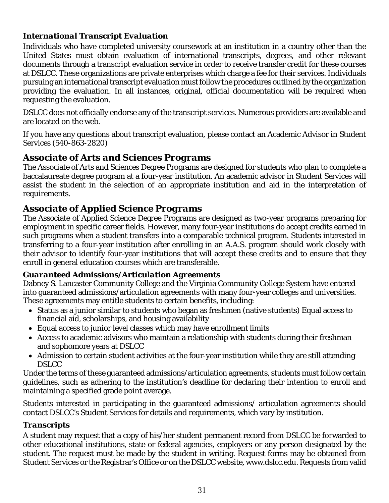#### *International Transcript Evaluation*

Individuals who have completed university coursework at an institution in a country other than the United States must obtain evaluation of international transcripts, degrees, and other relevant documents through a transcript evaluation service in order to receive transfer credit for these courses at DSLCC. These organizations are private enterprises which charge a fee for their services. Individuals pursuing an international transcript evaluation must follow the procedures outlined by the organization providing the evaluation. In all instances, original, official documentation will be required when requesting the evaluation.

DSLCC does not officially endorse any of the transcript services. Numerous providers are available and are located on the web.

If you have any questions about transcript evaluation, please contact an Academic Advisor in Student Services (540-863-2820)

## *Associate of Arts and Sciences Programs*

The Associate of Arts and Sciences Degree Programs are designed for students who plan to complete a baccalaureate degree program at a four-year institution. An academic advisor in Student Services will assist the student in the selection of an appropriate institution and aid in the interpretation of requirements.

## *Associate of Applied Science Programs*

The Associate of Applied Science Degree Programs are designed as two-year programs preparing for employment in specific career fields. However, many four-year institutions do accept credits earned in such programs when a student transfers into a comparable technical program. Students interested in transferring to a four-year institution after enrolling in an A.A.S. program should work closely with their advisor to identify four-year institutions that will accept these credits and to ensure that they enroll in general education courses which are transferable.

#### *Guaranteed Admissions/Articulation Agreements*

Dabney S. Lancaster Community College and the Virginia Community College System have entered into guaranteed admissions/articulation agreements with many four-year colleges and universities. These agreements may entitle students to certain benefits, including:

- Status as a junior similar to students who began as freshmen (native students) Equal access to financial aid, scholarships, and housing availability
- Equal access to junior level classes which may have enrollment limits
- Access to academic advisors who maintain a relationship with students during their freshman and sophomore years at DSLCC
- Admission to certain student activities at the four-year institution while they are still attending **DSLCC**

Under the terms of these guaranteed admissions/articulation agreements, students must follow certain guidelines, such as adhering to the institution's deadline for declaring their intention to enroll and maintaining a specified grade point average.

Students interested in participating in the guaranteed admissions/ articulation agreements should contact DSLCC's Student Services for details and requirements, which vary by institution.

#### *Transcripts*

A student may request that a copy of his/her student permanent record from DSLCC be forwarded to other educational institutions, state or federal agencies, employers or any person designated by the student. The request must be made by the student in writing. Request forms may be obtained from Student Services or the Registrar's Office or on the DSLCC website, www.dslcc.edu. Requests from valid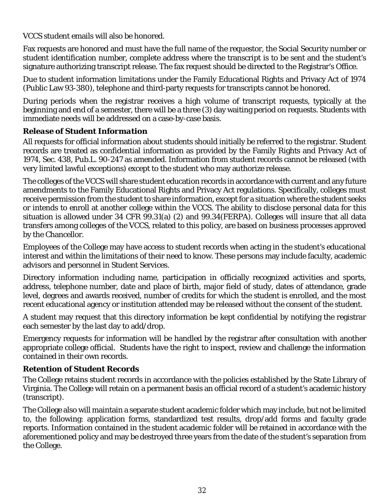VCCS student emails will also be honored.

Fax requests are honored and must have the full name of the requestor, the Social Security number or student identification number, complete address where the transcript is to be sent and the student's signature authorizing transcript release. The fax request should be directed to the Registrar's Office.

Due to student information limitations under the Family Educational Rights and Privacy Act of 1974 (Public Law 93-380), telephone and third-party requests for transcripts cannot be honored.

During periods when the registrar receives a high volume of transcript requests, typically at the beginning and end of a semester, there will be a three (3) day waiting period on requests. Students with immediate needs will be addressed on a case-by-case basis.

#### *Release of Student Information*

All requests for official information about students should initially be referred to the registrar. Student records are treated as confidential information as provided by the Family Rights and Privacy Act of 1974, Sec. 438, Pub.L. 90-247 as amended. Information from student records cannot be released (with very limited lawful exceptions) except to the student who may authorize release.

The colleges of the VCCS will share student education records in accordance with current and any future amendments to the Family Educational Rights and Privacy Act regulations. Specifically, colleges must receive permission from the student to share information, except for a situation where the student seeks or intends to enroll at another college within the VCCS. The ability to disclose personal data for this situation is allowed under 34 CFR 99.31(a) (2) and 99.34(FERPA). Colleges will insure that all data transfers among colleges of the VCCS, related to this policy, are based on business processes approved by the Chancellor.

Employees of the College may have access to student records when acting in the student's educational interest and within the limitations of their need to know. These persons may include faculty, academic advisors and personnel in Student Services.

Directory information including name, participation in officially recognized activities and sports, address, telephone number, date and place of birth, major field of study, dates of attendance, grade level, degrees and awards received, number of credits for which the student is enrolled, and the most recent educational agency or institution attended may be released without the consent of the student.

A student may request that this directory information be kept confidential by notifying the registrar each semester by the last day to add/drop.

Emergency requests for information will be handled by the registrar after consultation with another appropriate college official. Students have the right to inspect, review and challenge the information contained in their own records.

#### *Retention of Student Records*

The College retains student records in accordance with the policies established by the State Library of Virginia. The College will retain on a permanent basis an official record of a student's academic history (transcript).

The College also will maintain a separate student academic folder which may include, but not be limited to, the following: application forms, standardized test results, drop/add forms and faculty grade reports. Information contained in the student academic folder will be retained in accordance with the aforementioned policy and may be destroyed three years from the date of the student's separation from the College.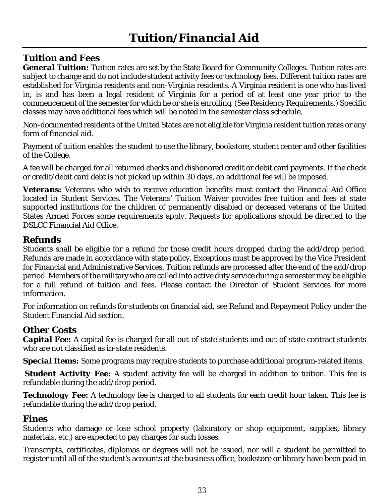## *Tuition and Fees*

*General Tuition:* Tuition rates are set by the State Board for Community Colleges. Tuition rates are subject to change and do not include student activity fees or technology fees. Different tuition rates are established for Virginia residents and non-Virginia residents. A Virginia resident is one who has lived in, is and has been a legal resident of Virginia for a period of at least one year prior to the commencement of the semester for which he or she is enrolling. (See Residency Requirements.) Specific classes may have additional fees which will be noted in the semester class schedule.

Non-documented residents of the United States are not eligible for Virginia resident tuition rates or any form of financial aid.

Payment of tuition enables the student to use the library, bookstore, student center and other facilities of the College.

A fee will be charged for all returned checks and dishonored credit or debit card payments. If the check or credit/debit card debt is not picked up within 30 days, an additional fee will be imposed.

*Veterans:* Veterans who wish to receive education benefits must contact the Financial Aid Office located in Student Services. The Veterans' Tuition Waiver provides free tuition and fees at state supported institutions for the children of permanently disabled or deceased veterans of the United States Armed Forces some requirements apply. Requests for applications should be directed to the DSLCC Financial Aid Office.

## *Refunds*

Students shall be eligible for a refund for those credit hours dropped during the add/drop period. Refunds are made in accordance with state policy. Exceptions must be approved by the Vice President for Financial and Administrative Services. Tuition refunds are processed after the end of the add/drop period. Members of the military who are called into active duty service during a semester may be eligible for a full refund of tuition and fees. Please contact the Director of Student Services for more information.

For information on refunds for students on financial aid, see Refund and Repayment Policy under the Student Financial Aid section.

## *Other Costs*

*Capital Fee:* A capital fee is charged for all out-of-state students and out-of-state contract students who are not classified as in-state residents.

*Special Items:* Some programs may require students to purchase additional program-related items.

**Student Activity Fee:** A student activity fee will be charged in addition to tuition. This fee is refundable during the add/drop period.

**Technology Fee:** A technology fee is charged to all students for each credit hour taken. This fee is refundable during the add/drop period.

#### *Fines*

Students who damage or lose school property (laboratory or shop equipment, supplies, library materials, etc.) are expected to pay charges for such losses.

Transcripts, certificates, diplomas or degrees will not be issued, nor will a student be permitted to register until all of the student's accounts at the business office, bookstore or library have been paid in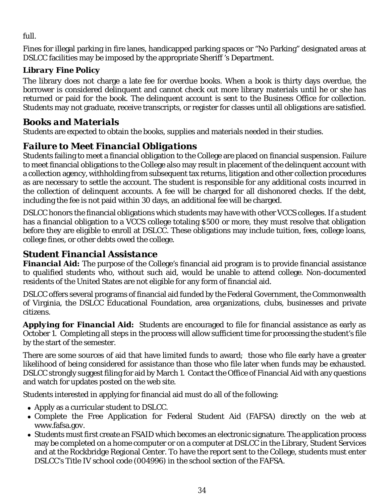full.

Fines for illegal parking in fire lanes, handicapped parking spaces or "No Parking" designated areas at DSLCC facilities may be imposed by the appropriate Sheriff 's Department.

## *Library Fine Policy*

The library does not charge a late fee for overdue books. When a book is thirty days overdue, the borrower is considered delinquent and cannot check out more library materials until he or she has returned or paid for the book. The delinquent account is sent to the Business Office for collection. Students may not graduate, receive transcripts, or register for classes until all obligations are satisfied.

## *Books and Materials*

Students are expected to obtain the books, supplies and materials needed in their studies.

## *Failure to Meet Financial Obligations*

Students failing to meet a financial obligation to the College are placed on financial suspension. Failure to meet financial obligations to the College also may result in placement of the delinquent account with a collection agency, withholding from subsequent tax returns, litigation and other collection procedures as are necessary to settle the account. The student is responsible for any additional costs incurred in the collection of delinquent accounts. A fee will be charged for all dishonored checks. If the debt, including the fee is not paid within 30 days, an additional fee will be charged.

DSLCC honors the financial obligations which students may have with other VCCS colleges. If a student has a financial obligation to a VCCS college totaling \$500 or more, they must resolve that obligation before they are eligible to enroll at DSLCC. These obligations may include tuition, fees, college loans, college fines, or other debts owed the college.

## *Student Financial Assistance*

**Financial Aid:** The purpose of the College's financial aid program is to provide financial assistance to qualified students who, without such aid, would be unable to attend college. Non-documented residents of the United States are not eligible for any form of financial aid.

DSLCC offers several programs of financial aid funded by the Federal Government, the Commonwealth of Virginia, the DSLCC Educational Foundation, area organizations, clubs, businesses and private citizens.

Applying for Financial Aid: Students are encouraged to file for financial assistance as early as October 1. Completing all steps in the process will allow sufficient time for processing the student's file by the start of the semester.

There are some sources of aid that have limited funds to award; those who file early have a greater likelihood of being considered for assistance than those who file later when funds may be exhausted. DSLCC strongly suggest filing for aid by March 1. Contact the Office of Financial Aid with any questions and watch for updates posted on the web site.

Students interested in applying for financial aid must do all of the following:

- Apply as a curricular student to DSLCC.
- Complete the Free Application for Federal Student Aid (FAFSA) directly on the web at www.fafsa.gov.
- Students must first create an FSAID which becomes an electronic signature. The application process may be completed on a home computer or on a computer at DSLCC in the Library, Student Services and at the Rockbridge Regional Center. To have the report sent to the College, students must enter DSLCC's Title IV school code (004996) in the school section of the FAFSA.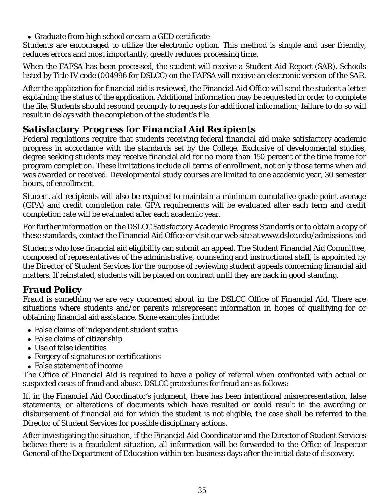Graduate from high school or earn a GED certificate

Students are encouraged to utilize the electronic option. This method is simple and user friendly, reduces errors and most importantly, greatly reduces processing time.

When the FAFSA has been processed, the student will receive a Student Aid Report (SAR). Schools listed by Title IV code (004996 for DSLCC) on the FAFSA will receive an electronic version of the SAR.

After the application for financial aid is reviewed, the Financial Aid Office will send the student a letter explaining the status of the application. Additional information may be requested in order to complete the file. Students should respond promptly to requests for additional information; failure to do so will result in delays with the completion of the student's file.

## *Satisfactory Progress for Financial Aid Recipients*

Federal regulations require that students receiving federal financial aid make satisfactory academic progress in accordance with the standards set by the College. Exclusive of developmental studies, degree seeking students may receive financial aid for no more than 150 percent of the time frame for program completion. These limitations include all terms of enrollment, not only those terms when aid was awarded or received. Developmental study courses are limited to one academic year, 30 semester hours, of enrollment.

Student aid recipients will also be required to maintain a minimum cumulative grade point average (GPA) and credit completion rate. GPA requirements will be evaluated after each term and credit completion rate will be evaluated after each academic year.

For further information on the DSLCC Satisfactory Academic Progress Standards or to obtain a copy of these standards, contact the Financial Aid Office or visit our web site at www.dslcc.edu/admissions-aid

Students who lose financial aid eligibility can submit an appeal. The Student Financial Aid Committee, composed of representatives of the administrative, counseling and instructional staff, is appointed by the Director of Student Services for the purpose of reviewing student appeals concerning financial aid matters. If reinstated, students will be placed on contract until they are back in good standing.

## *Fraud Policy*

Fraud is something we are very concerned about in the DSLCC Office of Financial Aid. There are situations where students and/or parents misrepresent information in hopes of qualifying for or obtaining financial aid assistance. Some examples include:

- False claims of independent student status
- False claims of citizenship
- Use of false identities
- Forgery of signatures or certifications
- False statement of income

The Office of Financial Aid is required to have a policy of referral when confronted with actual or suspected cases of fraud and abuse. DSLCC procedures for fraud are as follows:

If, in the Financial Aid Coordinator's judgment, there has been intentional misrepresentation, false statements, or alterations of documents which have resulted or could result in the awarding or disbursement of financial aid for which the student is not eligible, the case shall be referred to the Director of Student Services for possible disciplinary actions.

After investigating the situation, if the Financial Aid Coordinator and the Director of Student Services believe there is a fraudulent situation, all information will be forwarded to the Office of Inspector General of the Department of Education within ten business days after the initial date of discovery.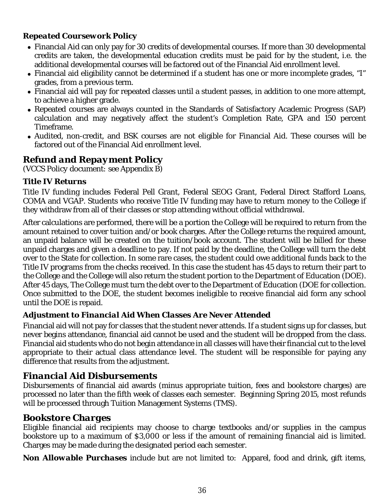#### *Repeated Coursework Policy*

- Financial Aid can only pay for 30 credits of developmental courses. If more than 30 developmental credits are taken, the developmental education credits must be paid for by the student, i.e. the additional developmental courses will be factored out of the Financial Aid enrollment level.
- Financial aid eligibility cannot be determined if a student has one or more incomplete grades, "I" grades, from a previous term.
- Financial aid will pay for repeated classes until a student passes, in addition to one more attempt, to achieve a higher grade.
- Repeated courses are always counted in the Standards of Satisfactory Academic Progress (SAP) calculation and may negatively affect the student's Completion Rate, GPA and 150 percent Timeframe.
- Audited, non-credit, and BSK courses are not eligible for Financial Aid. These courses will be factored out of the Financial Aid enrollment level.

## *Refund and Repayment Policy*

*(VCCS Policy document: see Appendix B)*

#### *Title IV Returns*

Title IV funding includes Federal Pell Grant, Federal SEOG Grant, Federal Direct Stafford Loans, COMA and VGAP. Students who receive Title IV funding may have to return money to the College if they withdraw from all of their classes or stop attending without official withdrawal.

After calculations are performed, there will be a portion the College will be required to return from the amount retained to cover tuition and/or book charges. After the College returns the required amount, an unpaid balance will be created on the tuition/book account. The student will be billed for these unpaid charges and given a deadline to pay. If not paid by the deadline, the College will turn the debt over to the State for collection. In some rare cases, the student could owe additional funds back to the Title IV programs from the checks received. In this case the student has 45 days to return their part to the College and the College will also return the student portion to the Department of Education (DOE). After 45 days, The College must turn the debt over to the Department of Education (DOE for collection. Once submitted to the DOE, the student becomes ineligible to receive financial aid form any school until the DOE is repaid.

#### *Adjustment to Financial Aid When Classes Are Never Attended*

Financial aid will not pay for classes that the student never attends. If a student signs up for classes, but never begins attendance, financial aid cannot be used and the student will be dropped from the class. Financial aid students who do not begin attendance in all classes will have their financial cut to the level appropriate to their actual class attendance level. The student will be responsible for paying any difference that results from the adjustment.

## *Financial Aid Disbursements*

Disbursements of financial aid awards (minus appropriate tuition, fees and bookstore charges) are processed no later than the fifth week of classes each semester. Beginning Spring 2015, most refunds will be processed through Tuition Management Systems (TMS).

## *Bookstore Charges*

Eligible financial aid recipients may choose to charge textbooks and/or supplies in the campus bookstore up to a maximum of \$3,000 or less if the amount of remaining financial aid is limited. Charges may be made during the designated period each semester.

*Non Allowable Purchases* include but are not limited to: Apparel, food and drink, gift items,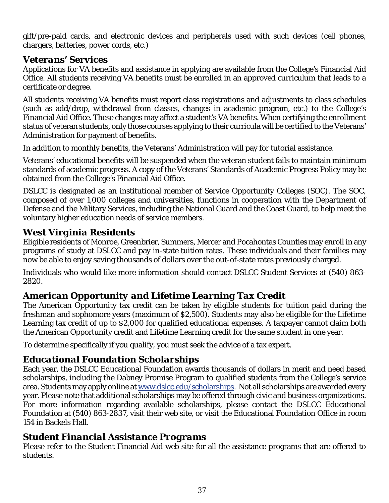gift/pre-paid cards, and electronic devices and peripherals used with such devices (cell phones, chargers, batteries, power cords, etc.)

## *Veterans' Services*

Applications for VA benefits and assistance in applying are available from the College's Financial Aid Office. All students receiving VA benefits must be enrolled in an approved curriculum that leads to a certificate or degree.

All students receiving VA benefits must report class registrations and adjustments to class schedules (such as add/drop, withdrawal from classes, changes in academic program, etc.) to the College's Financial Aid Office. These changes may affect a student's VA benefits. When certifying the enrollment status of veteran students, only those courses applying to their curricula will be certified to the Veterans' Administration for payment of benefits.

In addition to monthly benefits, the Veterans' Administration will pay for tutorial assistance.

Veterans' educational benefits will be suspended when the veteran student fails to maintain minimum standards of academic progress. A copy of the Veterans' Standards of Academic Progress Policy may be obtained from the College's Financial Aid Office.

DSLCC is designated as an institutional member of Service Opportunity Colleges (SOC). The SOC, composed of over 1,000 colleges and universities, functions in cooperation with the Department of Defense and the Military Services, including the National Guard and the Coast Guard, to help meet the voluntary higher education needs of service members.

## *West Virginia Residents*

Eligible residents of Monroe, Greenbrier, Summers, Mercer and Pocahontas Counties may enroll in any programs of study at DSLCC and pay in-state tuition rates. These individuals and their families may now be able to enjoy saving thousands of dollars over the out-of-state rates previously charged.

Individuals who would like more information should contact DSLCC Student Services at (540) 863- 2820.

## *American Opportunity and Lifetime Learning Tax Credit*

The American Opportunity tax credit can be taken by eligible students for tuition paid during the freshman and sophomore years (maximum of \$2,500). Students may also be eligible for the Lifetime Learning tax credit of up to \$2,000 for qualified educational expenses. A taxpayer cannot claim both the American Opportunity credit and Lifetime Learning credit for the same student in one year.

To determine specifically if you qualify, you must seek the advice of a tax expert.

## *Educational Foundation Scholarships*

Each year, the DSLCC Educational Foundation awards thousands of dollars in merit and need based scholarships, including the Dabney Promise Program to qualified students from the College's service area. Students may apply online at www.dslcc.edu/scholarships. Not all scholarships are awarded every year. Please note that additional scholarships may be offered through civic and business organizations. For more information regarding available scholarships, please contact the DSLCC Educational Foundation at (540) 863-2837, visit their web site, or visit the Educational Foundation Office in room 154 in Backels Hall.

## *Student Financial Assistance Programs*

Please refer to the Student Financial Aid web site for all the assistance programs that are offered to students.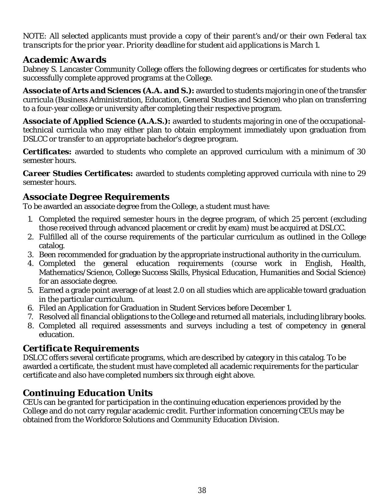*NOTE: All selected applicants must provide a copy of their parent's and/or their own Federal tax transcripts for the prior year. Priority deadline for student aid applications is March 1.*

## *Academic Awards*

Dabney S. Lancaster Community College offers the following degrees or certificates for students who successfully complete approved programs at the College.

*Associate of Arts and Sciences (A.A. and S.):* awarded to students majoring in one of the transfer curricula (Business Administration, Education, General Studies and Science) who plan on transferring to a four-year college or university after completing their respective program.

*Associate of Applied Science (A.A.S.):* awarded to students majoring in one of the occupationaltechnical curricula who may either plan to obtain employment immediately upon graduation from DSLCC or transfer to an appropriate bachelor's degree program.

*Certificates:* awarded to students who complete an approved curriculum with a minimum of 30 semester hours.

*Career Studies Certificates:* awarded to students completing approved curricula with nine to 29 semester hours.

## *Associate Degree Requirements*

To be awarded an associate degree from the College, a student must have:

- 1. Completed the required semester hours in the degree program, of which 25 percent (excluding those received through advanced placement or credit by exam) must be acquired at DSLCC.
- 2. Fulfilled all of the course requirements of the particular curriculum as outlined in the College catalog.
- 3. Been recommended for graduation by the appropriate instructional authority in the curriculum.
- 4. Completed the general education requirements (course work in English, Health, Mathematics/Science, College Success Skills, Physical Education, Humanities and Social Science) for an associate degree.
- 5. Earned a grade point average of at least 2.0 on all studies which are applicable toward graduation in the particular curriculum.
- 6. Filed an Application for Graduation in Student Services before December 1.
- 7. Resolved all financial obligations to the College and returned all materials, including library books.
- 8. Completed all required assessments and surveys including a test of competency in general education.

## *Certificate Requirements*

DSLCC offers several certificate programs, which are described by category in this catalog. To be awarded a certificate, the student must have completed all academic requirements for the particular certificate and also have completed numbers six through eight above.

## *Continuing Education Units*

CEUs can be granted for participation in the continuing education experiences provided by the College and do not carry regular academic credit. Further information concerning CEUs may be obtained from the Workforce Solutions and Community Education Division.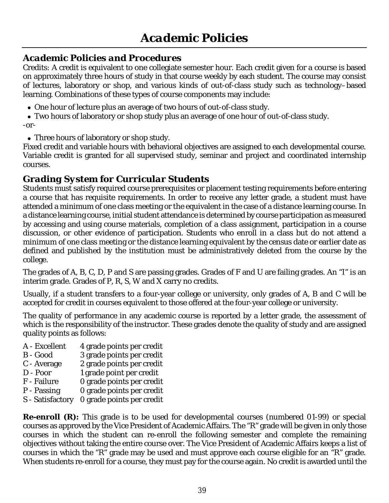## *Academic Policies and Procedures*

Credits: A credit is equivalent to one collegiate semester hour. Each credit given for a course is based on approximately three hours of study in that course weekly by each student. The course may consist of lectures, laboratory or shop, and various kinds of out-of-class study such as technology–based learning. Combinations of these types of course components may include:

- One hour of lecture plus an average of two hours of out-of-class study.
- Two hours of laboratory or shop study plus an average of one hour of out-of-class study. -or-
- Three hours of laboratory or shop study.

Fixed credit and variable hours with behavioral objectives are assigned to each developmental course. Variable credit is granted for all supervised study, seminar and project and coordinated internship courses.

## *Grading System for Curricular Students*

Students must satisfy required course prerequisites or placement testing requirements before entering a course that has requisite requirements. In order to receive any letter grade, a student must have attended a minimum of one class meeting or the equivalent in the case of a distance learning course. In a distance learning course, initial student attendance is determined by course participation as measured by accessing and using course materials, completion of a class assignment, participation in a course discussion, or other evidence of participation. Students who enroll in a class but do not attend a minimum of one class meeting or the distance learning equivalent by the census date or earlier date as defined and published by the institution must be administratively deleted from the course by the college.

The grades of A, B, C, D, P and S are passing grades. Grades of F and U are failing grades. An "I" is an interim grade. Grades of P, R, S, W and X carry no credits.

Usually, if a student transfers to a four-year college or university, only grades of A, B and C will be accepted for credit in courses equivalent to those offered at the four-year college or university.

The quality of performance in any academic course is reported by a letter grade, the assessment of which is the responsibility of the instructor. These grades denote the quality of study and are assigned quality points as follows:

- A Excellent 4 grade points per credit
- B Good 3 grade points per credit
- C Average 2 grade points per credit
- D Poor 1 grade point per credit
- F Failure 0 grade points per credit
- P Passing 0 grade points per credit
- S Satisfactory 0 grade points per credit

**Re-enroll (R):** This grade is to be used for developmental courses (numbered 01-99) or special courses as approved by the Vice President of Academic Affairs. The "R" grade will be given in only those courses in which the student can re-enroll the following semester and complete the remaining objectives without taking the entire course over. The Vice President of Academic Affairs keeps a list of courses in which the "R" grade may be used and must approve each course eligible for an "R" grade. When students re-enroll for a course, they must pay for the course again. No credit is awarded until the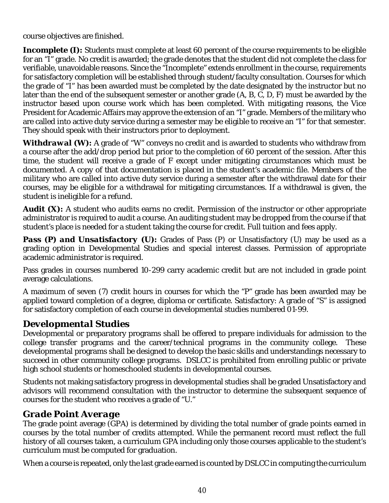course objectives are finished.

*Incomplete (I):* Students must complete at least 60 percent of the course requirements to be eligible for an "I" grade. No credit is awarded; the grade denotes that the student did not complete the class for verifiable, unavoidable reasons. Since the "Incomplete" extends enrollment in the course, requirements for satisfactory completion will be established through student/faculty consultation. Courses for which the grade of "I" has been awarded must be completed by the date designated by the instructor but no later than the end of the subsequent semester or another grade (A, B, C, D, F) must be awarded by the instructor based upon course work which has been completed. With mitigating reasons, the Vice President for Academic Affairs may approve the extension of an "I" grade. Members of the military who are called into active duty service during a semester may be eligible to receive an "I" for that semester. They should speak with their instructors prior to deployment.

**Withdrawal (W):** A grade of "W" conveys no credit and is awarded to students who withdraw from a course after the add/drop period but prior to the completion of 60 percent of the session. After this time, the student will receive a grade of F except under mitigating circumstances which must be documented. A copy of that documentation is placed in the student's academic file. Members of the military who are called into active duty service during a semester after the withdrawal date for their courses, may be eligible for a withdrawal for mitigating circumstances. If a withdrawal is given, the student is ineligible for a refund.

**Audit (X):** A student who audits earns no credit. Permission of the instructor or other appropriate administrator is required to audit a course. An auditing student may be dropped from the course if that student's place is needed for a student taking the course for credit. Full tuition and fees apply.

*Pass (P) and Unsatisfactory (U):* Grades of Pass (P) or Unsatisfactory (U) may be used as a grading option in Developmental Studies and special interest classes. Permission of appropriate academic administrator is required.

Pass grades in courses numbered 10-299 carry academic credit but are not included in grade point average calculations.

A maximum of seven (7) credit hours in courses for which the "P" grade has been awarded may be applied toward completion of a degree, diploma or certificate. Satisfactory: A grade of "S" is assigned for satisfactory completion of each course in developmental studies numbered 01-99.

## *Developmental Studies*

Developmental or preparatory programs shall be offered to prepare individuals for admission to the college transfer programs and the career/technical programs in the community college. These developmental programs shall be designed to develop the basic skills and understandings necessary to succeed in other community college programs. DSLCC is prohibited from enrolling public or private high school students or homeschooled students in developmental courses.

Students not making satisfactory progress in developmental studies shall be graded Unsatisfactory and advisors will recommend consultation with the instructor to determine the subsequent sequence of courses for the student who receives a grade of "U."

## *Grade Point Average*

The grade point average (GPA) is determined by dividing the total number of grade points earned in courses by the total number of credits attempted. While the permanent record must reflect the full history of all courses taken, a curriculum GPA including only those courses applicable to the student's curriculum must be computed for graduation.

When a course is repeated, only the last grade earned is counted by DSLCC in computing the curriculum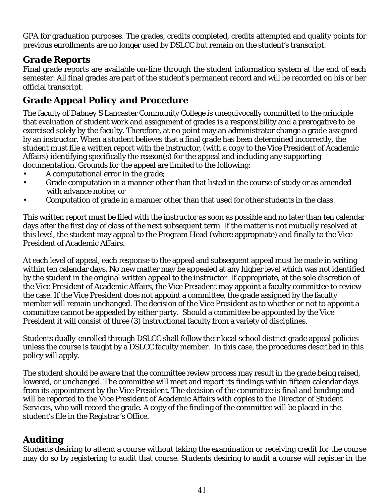GPA for graduation purposes. The grades, credits completed, credits attempted and quality points for previous enrollments are no longer used by DSLCC but remain on the student's transcript.

## *Grade Reports*

Final grade reports are available on-line through the student information system at the end of each semester. All final grades are part of the student's permanent record and will be recorded on his or her official transcript.

## *Grade Appeal Policy and Procedure*

The faculty of Dabney S Lancaster Community College is unequivocally committed to the principle that evaluation of student work and assignment of grades is a responsibility and a prerogative to be exercised solely by the faculty. Therefore, at no point may an administrator change a grade assigned by an instructor. When a student believes that a final grade has been determined incorrectly, the student must file a written report with the instructor, (with a copy to the Vice President of Academic Affairs) identifying specifically the reason(s) for the appeal and including any supporting documentation. Grounds for the appeal are limited to the following:

- A computational error in the grade;
- Grade computation in a manner other than that listed in the course of study or as amended with advance notice; or
- Computation of grade in a manner other than that used for other students in the class.

This written report must be filed with the instructor as soon as possible and no later than ten calendar days after the first day of class of the next subsequent term. If the matter is not mutually resolved at this level, the student may appeal to the Program Head (where appropriate) and finally to the Vice President of Academic Affairs.

At each level of appeal, each response to the appeal and subsequent appeal must be made in writing within ten calendar days. No new matter may be appealed at any higher level which was not identified by the student in the original written appeal to the instructor. If appropriate, at the sole discretion of the Vice President of Academic Affairs, the Vice President may appoint a faculty committee to review the case. If the Vice President does not appoint a committee, the grade assigned by the faculty member will remain unchanged. The decision of the Vice President as to whether or not to appoint a committee cannot be appealed by either party. Should a committee be appointed by the Vice President it will consist of three (3) instructional faculty from a variety of disciplines.

Students dually-enrolled through DSLCC shall follow their local school district grade appeal policies unless the course is taught by a DSLCC faculty member. In this case, the procedures described in this policy will apply.

The student should be aware that the committee review process may result in the grade being raised, lowered, or unchanged. The committee will meet and report its findings within fifteen calendar days from its appointment by the Vice President. The decision of the committee is final and binding and will be reported to the Vice President of Academic Affairs with copies to the Director of Student Services, who will record the grade. A copy of the finding of the committee will be placed in the student's file in the Registrar's Office.

## *Auditing*

Students desiring to attend a course without taking the examination or receiving credit for the course may do so by registering to audit that course. Students desiring to audit a course will register in the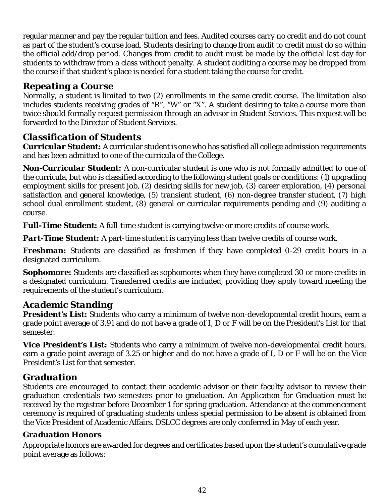regular manner and pay the regular tuition and fees. Audited courses carry no credit and do not count as part of the student's course load. Students desiring to change from audit to credit must do so within the official add/drop period. Changes from credit to audit must be made by the official last day for students to withdraw from a class without penalty. A student auditing a course may be dropped from the course if that student's place is needed for a student taking the course for credit.

## *Repeating a Course*

Normally, a student is limited to two (2) enrollments in the same credit course. The limitation also includes students receiving grades of "R", "W" or "X". A student desiring to take a course more than twice should formally request permission through an advisor in Student Services. This request will be forwarded to the Director of Student Services.

## *Classification of Students*

*Curricular Student:* A curricular student is one who has satisfied all college admission requirements and has been admitted to one of the curricula of the College.

*Non-Curricular Student:* A non-curricular student is one who is not formally admitted to one of the curricula, but who is classified according to the following student goals or conditions: (1) upgrading employment skills for present job, (2) desiring skills for new job, (3) career exploration, (4) personal satisfaction and general knowledge, (5) transient student, (6) non-degree transfer student, (7) high school dual enrollment student, (8) general or curricular requirements pending and (9) auditing a course.

*Full-Time Student:* A full-time student is carrying twelve or more credits of course work.

*Part-Time Student:* A part-time student is carrying less than twelve credits of course work.

*Freshman:* Students are classified as freshmen if they have completed 0-29 credit hours in a designated curriculum.

**Sophomore:** Students are classified as sophomores when they have completed 30 or more credits in a designated curriculum. Transferred credits are included, providing they apply toward meeting the requirements of the student's curriculum.

## *Academic Standing*

*President's List:* Students who carry a minimum of twelve non-developmental credit hours, earn a grade point average of 3.91 and do not have a grade of I, D or F will be on the President's List for that semester.

*Vice President's List:* Students who carry a minimum of twelve non-developmental credit hours, earn a grade point average of 3.25 or higher and do not have a grade of I, D or F will be on the Vice President's List for that semester.

## *Graduation*

Students are encouraged to contact their academic advisor or their faculty advisor to review their graduation credentials two semesters prior to graduation. An Application for Graduation must be received by the registrar before December 1 for spring graduation. Attendance at the commencement ceremony is required of graduating students unless special permission to be absent is obtained from the Vice President of Academic Affairs. DSLCC degrees are only conferred in May of each year.

## *Graduation Honors*

Appropriate honors are awarded for degrees and certificates based upon the student's cumulative grade point average as follows: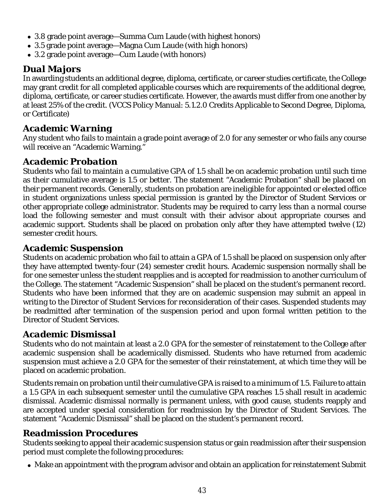- 3.8 grade point average—Summa Cum Laude (with highest honors)
- 3.5 grade point average—Magna Cum Laude (with high honors)
- 3.2 grade point average—Cum Laude (with honors)

## *Dual Majors*

In awarding students an additional degree, diploma, certificate, or career studies certificate, the College may grant credit for all completed applicable courses which are requirements of the additional degree, diploma, certificate, or career studies certificate. However, the awards must differ from one another by at least 25% of the credit. (VCCS Policy Manual: 5.1.2.0 Credits Applicable to Second Degree, Diploma, or Certificate)

## *Academic Warning*

Any student who fails to maintain a grade point average of 2.0 for any semester or who fails any course will receive an "Academic Warning."

## *Academic Probation*

Students who fail to maintain a cumulative GPA of 1.5 shall be on academic probation until such time as their cumulative average is 1.5 or better. The statement "Academic Probation" shall be placed on their permanent records. Generally, students on probation are ineligible for appointed or elected office in student organizations unless special permission is granted by the Director of Student Services or other appropriate college administrator. Students may be required to carry less than a normal course load the following semester and must consult with their advisor about appropriate courses and academic support. Students shall be placed on probation only after they have attempted twelve (12) semester credit hours.

## *Academic Suspension*

Students on academic probation who fail to attain a GPA of 1.5 shall be placed on suspension only after they have attempted twenty-four (24) semester credit hours. Academic suspension normally shall be for one semester unless the student reapplies and is accepted for readmission to another curriculum of the College. The statement "Academic Suspension" shall be placed on the student's permanent record. Students who have been informed that they are on academic suspension may submit an appeal in writing to the Director of Student Services for reconsideration of their cases. Suspended students may be readmitted after termination of the suspension period and upon formal written petition to the Director of Student Services.

## *Academic Dismissal*

Students who do not maintain at least a 2.0 GPA for the semester of reinstatement to the College after academic suspension shall be academically dismissed. Students who have returned from academic suspension must achieve a 2.0 GPA for the semester of their reinstatement, at which time they will be placed on academic probation.

Students remain on probation until their cumulative GPA is raised to a minimum of 1.5. Failure to attain a 1.5 GPA in each subsequent semester until the cumulative GPA reaches 1.5 shall result in academic dismissal. Academic dismissal normally is permanent unless, with good cause, students reapply and are accepted under special consideration for readmission by the Director of Student Services. The statement "Academic Dismissal" shall be placed on the student's permanent record.

## *Readmission Procedures*

Students seeking to appeal their academic suspension status or gain readmission after their suspension period must complete the following procedures:

Make an appointment with the program advisor and obtain an application for reinstatement Submit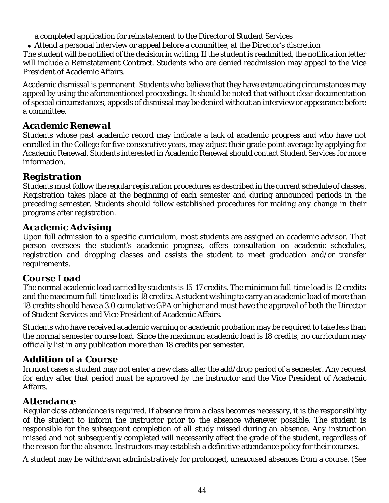a completed application for reinstatement to the Director of Student Services

Attend a personal interview or appeal before a committee, at the Director's discretion

The student will be notified of the decision in writing. If the student is readmitted, the notification letter will include a Reinstatement Contract. Students who are denied readmission may appeal to the Vice President of Academic Affairs.

Academic dismissal is permanent. Students who believe that they have extenuating circumstances may appeal by using the aforementioned proceedings. It should be noted that without clear documentation of special circumstances, appeals of dismissal may be denied without an interview or appearance before a committee.

## *Academic Renewal*

Students whose past academic record may indicate a lack of academic progress and who have not enrolled in the College for five consecutive years, may adjust their grade point average by applying for Academic Renewal. Students interested in Academic Renewal should contact Student Services for more information.

## *Registration*

Students must follow the regular registration procedures as described in the current schedule of classes. Registration takes place at the beginning of each semester and during announced periods in the preceding semester. Students should follow established procedures for making any change in their programs after registration.

## *Academic Advising*

Upon full admission to a specific curriculum, most students are assigned an academic advisor. That person oversees the student's academic progress, offers consultation on academic schedules, registration and dropping classes and assists the student to meet graduation and/or transfer requirements.

## *Course Load*

The normal academic load carried by students is 15-17 credits. The minimum full-time load is 12 credits and the maximum full-time load is 18 credits. A student wishing to carry an academic load of more than 18 credits should have a 3.0 cumulative GPA or higher and must have the approval of both the Director of Student Services and Vice President of Academic Affairs.

Students who have received academic warning or academic probation may be required to take less than the normal semester course load. Since the maximum academic load is 18 credits, no curriculum may officially list in any publication more than 18 credits per semester.

## *Addition of a Course*

In most cases a student may not enter a new class after the add/drop period of a semester. Any request for entry after that period must be approved by the instructor and the Vice President of Academic Affairs.

## *Attendance*

Regular class attendance is required. If absence from a class becomes necessary, it is the responsibility of the student to inform the instructor prior to the absence whenever possible. The student is responsible for the subsequent completion of all study missed during an absence. Any instruction missed and not subsequently completed will necessarily affect the grade of the student, regardless of the reason for the absence. Instructors may establish a definitive attendance policy for their courses.

A student may be withdrawn administratively for prolonged, unexcused absences from a course. (See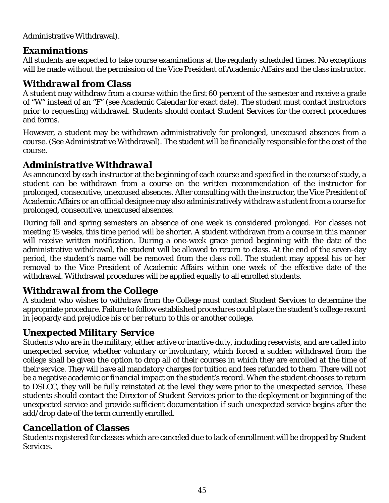Administrative Withdrawal).

## *Examinations*

All students are expected to take course examinations at the regularly scheduled times. No exceptions will be made without the permission of the Vice President of Academic Affairs and the class instructor.

## *Withdrawal from Class*

A student may withdraw from a course within the first 60 percent of the semester and receive a grade of "W" instead of an "F" (see Academic Calendar for exact date). The student must contact instructors prior to requesting withdrawal. Students should contact Student Services for the correct procedures and forms.

However, a student may be withdrawn administratively for prolonged, unexcused absences from a course. (See Administrative Withdrawal). The student will be financially responsible for the cost of the course.

## *Administrative Withdrawal*

As announced by each instructor at the beginning of each course and specified in the course of study, a student can be withdrawn from a course on the written recommendation of the instructor for prolonged, consecutive, unexcused absences. After consulting with the instructor, the Vice President of Academic Affairs or an official designee may also administratively withdraw a student from a course for prolonged, consecutive, unexcused absences.

During fall and spring semesters an absence of one week is considered prolonged. For classes not meeting 15 weeks, this time period will be shorter. A student withdrawn from a course in this manner will receive written notification. During a one-week grace period beginning with the date of the administrative withdrawal, the student will be allowed to return to class. At the end of the seven-day period, the student's name will be removed from the class roll. The student may appeal his or her removal to the Vice President of Academic Affairs within one week of the effective date of the withdrawal. Withdrawal procedures will be applied equally to all enrolled students.

## *Withdrawal from the College*

A student who wishes to withdraw from the College must contact Student Services to determine the appropriate procedure. Failure to follow established procedures could place the student's college record in jeopardy and prejudice his or her return to this or another college.

## *Unexpected Military Service*

Students who are in the military, either active or inactive duty, including reservists, and are called into unexpected service, whether voluntary or involuntary, which forced a sudden withdrawal from the college shall be given the option to drop all of their courses in which they are enrolled at the time of their service. They will have all mandatory charges for tuition and fees refunded to them. There will not be a negative academic or financial impact on the student's record. When the student chooses to return to DSLCC, they will be fully reinstated at the level they were prior to the unexpected service. These students should contact the Director of Student Services prior to the deployment or beginning of the unexpected service and provide sufficient documentation if such unexpected service begins after the add/drop date of the term currently enrolled.

## *Cancellation of Classes*

Students registered for classes which are canceled due to lack of enrollment will be dropped by Student Services.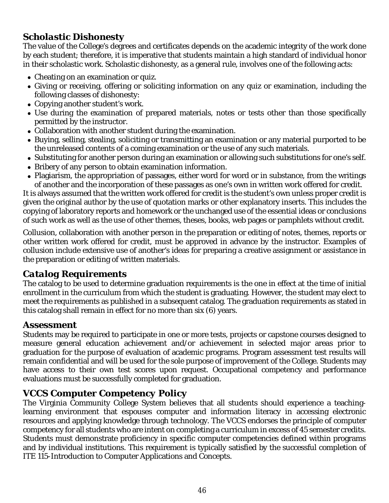## *Scholastic Dishonesty*

The value of the College's degrees and certificates depends on the academic integrity of the work done by each student; therefore, it is imperative that students maintain a high standard of individual honor in their scholastic work. Scholastic dishonesty, as a general rule, involves one of the following acts:

- Cheating on an examination or quiz.
- Giving or receiving, offering or soliciting information on any quiz or examination, including the following classes of dishonesty:
- Copying another student's work.
- Use during the examination of prepared materials, notes or tests other than those specifically permitted by the instructor.
- Collaboration with another student during the examination.
- Buying, selling, stealing, soliciting or transmitting an examination or any material purported to be the unreleased contents of a coming examination or the use of any such materials.
- Substituting for another person during an examination or allowing such substitutions for one's self.
- Bribery of any person to obtain examination information.
- Plagiarism, the appropriation of passages, either word for word or in substance, from the writings of another and the incorporation of these passages as one's own in written work offered for credit.

It is always assumed that the written work offered for credit is the student's own unless proper credit is given the original author by the use of quotation marks or other explanatory inserts. This includes the copying of laboratory reports and homework or the unchanged use of the essential ideas or conclusions of such work as well as the use of other themes, theses, books, web pages or pamphlets without credit.

Collusion, collaboration with another person in the preparation or editing of notes, themes, reports or other written work offered for credit, must be approved in advance by the instructor. Examples of collusion include extensive use of another's ideas for preparing a creative assignment or assistance in the preparation or editing of written materials.

## *Catalog Requirements*

The catalog to be used to determine graduation requirements is the one in effect at the time of initial enrollment in the curriculum from which the student is graduating. However, the student may elect to meet the requirements as published in a subsequent catalog. The graduation requirements as stated in this catalog shall remain in effect for no more than six (6) years.

## *Assessment*

Students may be required to participate in one or more tests, projects or capstone courses designed to measure general education achievement and/or achievement in selected major areas prior to graduation for the purpose of evaluation of academic programs. Program assessment test results will remain confidential and will be used for the sole purpose of improvement of the College. Students may have access to their own test scores upon request. Occupational competency and performance evaluations must be successfully completed for graduation.

## *VCCS Computer Competency Policy*

The Virginia Community College System believes that all students should experience a teachinglearning environment that espouses computer and information literacy in accessing electronic resources and applying knowledge through technology. The VCCS endorses the principle of computer competency for all students who are intent on completing a curriculum in excess of 45 semester credits. Students must demonstrate proficiency in specific computer competencies defined within programs and by individual institutions. This requirement is typically satisfied by the successful completion of ITE 115-Introduction to Computer Applications and Concepts.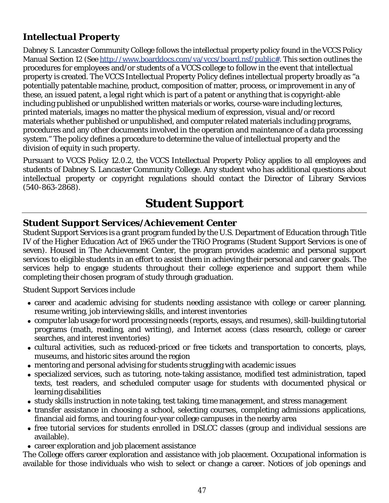## *Intellectual Property*

Dabney S. Lancaster Community College follows the intellectual property policy found in the VCCS Policy Manual Section 12 (See http://www.boarddocs.com/va/vccs/board.nsf/public#. This section outlines the procedures for employees and/or students of a VCCS college to follow in the event that intellectual property is created. The VCCS Intellectual Property Policy defines intellectual property broadly as "a potentially patentable machine, product, composition of matter, process, or improvement in any of these, an issued patent, a legal right which is part of a patent or anything that is copyright-able including published or unpublished written materials or works, course-ware including lectures, printed materials, images no matter the physical medium of expression, visual and/or record materials whether published or unpublished, and computer related materials including programs, procedures and any other documents involved in the operation and maintenance of a data processing system." The policy defines a procedure to determine the value of intellectual property and the division of equity in such property.

Pursuant to VCCS Policy 12.0.2, the VCCS Intellectual Property Policy applies to all employees and students of Dabney S. Lancaster Community College. Any student who has additional questions about intellectual property or copyright regulations should contact the Director of Library Services (540-863-2868).

# *Student Support*

## *Student Support Services/Achievement Center*

Student Support Services is a grant program funded by the U.S. Department of Education through Title IV of the Higher Education Act of 1965 under the TRiO Programs (Student Support Services is one of seven). Housed in The Achievement Center, the program provides academic and personal support services to eligible students in an effort to assist them in achieving their personal and career goals. The services help to engage students throughout their college experience and support them while completing their chosen program of study through graduation.

Student Support Services include

- career and academic advising for students needing assistance with college or career planning, resume writing, job interviewing skills, and interest inventories
- computer lab usage for word processing needs (reports, essays, and resumes), skill-building tutorial programs (math, reading, and writing), and Internet access (class research, college or career searches, and interest inventories)
- cultural activities, such as reduced-priced or free tickets and transportation to concerts, plays, museums, and historic sites around the region
- mentoring and personal advising for students struggling with academic issues
- specialized services, such as tutoring, note-taking assistance, modified test administration, taped texts, test readers, and scheduled computer usage for students with documented physical or learning disabilities
- study skills instruction in note taking, test taking, time management, and stress management
- transfer assistance in choosing a school, selecting courses, completing admissions applications, financial aid forms, and touring four-year college campuses in the nearby area
- free tutorial services for students enrolled in DSLCC classes (group and individual sessions are available).
- career exploration and job placement assistance

The College offers career exploration and assistance with job placement. Occupational information is available for those individuals who wish to select or change a career. Notices of job openings and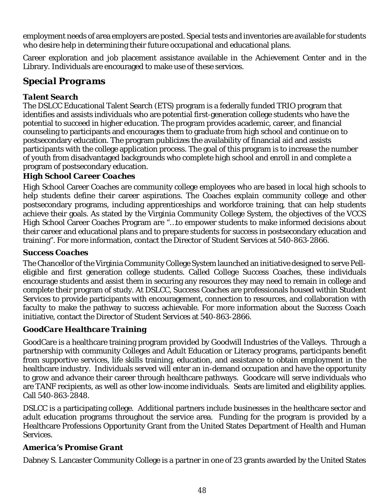employment needs of area employers are posted. Special tests and inventories are available for students who desire help in determining their future occupational and educational plans.

Career exploration and job placement assistance available in the Achievement Center and in the Library. Individuals are encouraged to make use of these services.

## *Special Programs*

## *Talent Search*

The DSLCC Educational Talent Search (ETS) program is a federally funded TRIO program that identifies and assists individuals who are potential first-generation college students who have the potential to succeed in higher education. The program provides academic, career, and financial counseling to participants and encourages them to graduate from high school and continue on to postsecondary education. The program publicizes the availability of financial aid and assists participants with the college application process. The goal of this program is to increase the number of youth from disadvantaged backgrounds who complete high school and enroll in and complete a program of postsecondary education.

## *High School Career Coaches*

High School Career Coaches are community college employees who are based in local high schools to help students define their career aspirations. The Coaches explain community college and other postsecondary programs, including apprenticeships and workforce training, that can help students achieve their goals. As stated by the Virginia Community College System, the objectives of the VCCS High School Career Coaches Program are "…to empower students to make informed decisions about their career and educational plans and to prepare students for success in postsecondary education and training". For more information, contact the Director of Student Services at 540-863-2866.

#### *Success Coaches*

The Chancellor of the Virginia Community College System launched an initiative designed to serve Pelleligible and first generation college students. Called College Success Coaches, these individuals encourage students and assist them in securing any resources they may need to remain in college and complete their program of study. At DSLCC, Success Coaches are professionals housed within Student Services to provide participants with encouragement, connection to resources, and collaboration with faculty to make the pathway to success achievable. For more information about the Success Coach initiative, contact the Director of Student Services at 540-863-2866.

## *GoodCare Healthcare Training*

GoodCare is a healthcare training program provided by Goodwill Industries of the Valleys. Through a partnership with community Colleges and Adult Education or Literacy programs, participants benefit from supportive services, life skills training, education, and assistance to obtain employment in the healthcare industry. Individuals served will enter an in-demand occupation and have the opportunity to grow and advance their career through healthcare pathways. Goodcare will serve individuals who are TANF recipients, as well as other low-income individuals. Seats are limited and eligibility applies. Call 540-863-2848.

DSLCC is a participating college. Additional partners include businesses in the healthcare sector and adult education programs throughout the service area. Funding for the program is provided by a Healthcare Professions Opportunity Grant from the United States Department of Health and Human Services.

## *America's Promise Grant*

Dabney S. Lancaster Community College is a partner in one of 23 grants awarded by the United States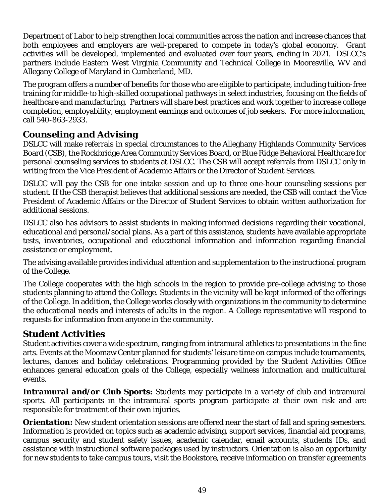Department of Labor to help strengthen local communities across the nation and increase chances that both employees and employers are well-prepared to compete in today's global economy. Grant activities will be developed, implemented and evaluated over four years, ending in 2021. DSLCC's partners include Eastern West Virginia Community and Technical College in Mooresville, WV and Allegany College of Maryland in Cumberland, MD.

The program offers a number of benefits for those who are eligible to participate, including tuition-free training for middle-to high-skilled occupational pathways in select industries, focusing on the fields of healthcare and manufacturing. Partners will share best practices and work together to increase college completion, employability, employment earnings and outcomes of job seekers. For more information, call 540-863-2933.

## *Counseling and Advising*

DSLCC will make referrals in special circumstances to the Alleghany Highlands Community Services Board (CSB), the Rockbridge Area Community Services Board, or Blue Ridge Behavioral Healthcare for personal counseling services to students at DSLCC. The CSB will accept referrals from DSLCC only in writing from the Vice President of Academic Affairs or the Director of Student Services.

DSLCC will pay the CSB for one intake session and up to three one-hour counseling sessions per student. If the CSB therapist believes that additional sessions are needed, the CSB will contact the Vice President of Academic Affairs or the Director of Student Services to obtain written authorization for additional sessions.

DSLCC also has advisors to assist students in making informed decisions regarding their vocational, educational and personal/social plans. As a part of this assistance, students have available appropriate tests, inventories, occupational and educational information and information regarding financial assistance or employment.

The advising available provides individual attention and supplementation to the instructional program of the College.

The College cooperates with the high schools in the region to provide pre-college advising to those students planning to attend the College. Students in the vicinity will be kept informed of the offerings of the College. In addition, the College works closely with organizations in the community to determine the educational needs and interests of adults in the region. A College representative will respond to requests for information from anyone in the community.

## *Student Activities*

Student activities cover a wide spectrum, ranging from intramural athletics to presentations in the fine arts. Events at the Moomaw Center planned for students' leisure time on campus include tournaments, lectures, dances and holiday celebrations. Programming provided by the Student Activities Office enhances general education goals of the College, especially wellness information and multicultural events.

*Intramural and/or Club Sports:* Students may participate in a variety of club and intramural sports. All participants in the intramural sports program participate at their own risk and are responsible for treatment of their own injuries.

*Orientation:* New student orientation sessions are offered near the start of fall and spring semesters. Information is provided on topics such as academic advising, support services, financial aid programs, campus security and student safety issues, academic calendar, email accounts, students IDs, and assistance with instructional software packages used by instructors. Orientation is also an opportunity for new students to take campus tours, visit the Bookstore, receive information on transfer agreements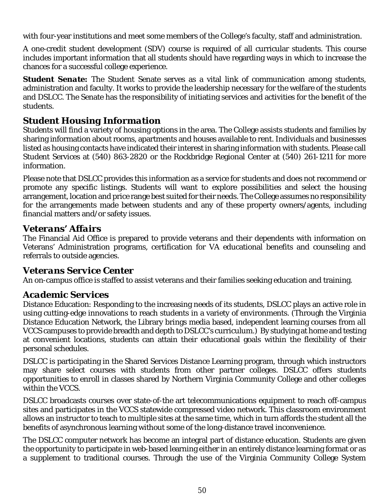with four-year institutions and meet some members of the College's faculty, staff and administration.

A one-credit student development (SDV) course is required of all curricular students. This course includes important information that all students should have regarding ways in which to increase the chances for a successful college experience.

**Student Senate:** The Student Senate serves as a vital link of communication among students, administration and faculty. It works to provide the leadership necessary for the welfare of the students and DSLCC. The Senate has the responsibility of initiating services and activities for the benefit of the students.

## *Student Housing Information*

Students will find a variety of housing options in the area. The College assists students and families by sharing information about rooms, apartments and houses available to rent. Individuals and businesses listed as housing contacts have indicated their interest in sharing information with students. Please call Student Services at (540) 863-2820 or the Rockbridge Regional Center at (540) 261-1211 for more information.

Please note that DSLCC provides this information as a service for students and does not recommend or promote any specific listings. Students will want to explore possibilities and select the housing arrangement, location and price range best suited for their needs. The College assumes no responsibility for the arrangements made between students and any of these property owners/agents, including financial matters and/or safety issues.

## *Veterans' Affairs*

The Financial Aid Office is prepared to provide veterans and their dependents with information on Veterans' Administration programs, certification for VA educational benefits and counseling and referrals to outside agencies.

## *Veterans Service Center*

An on-campus office is staffed to assist veterans and their families seeking education and training.

## *Academic Services*

Distance Education: Responding to the increasing needs of its students, DSLCC plays an active role in using cutting-edge innovations to reach students in a variety of environments. (Through the Virginia Distance Education Network, the Library brings media based, independent learning courses from all VCCS campuses to provide breadth and depth to DSLCC's curriculum.) By studying at home and testing at convenient locations, students can attain their educational goals within the flexibility of their personal schedules.

DSLCC is participating in the Shared Services Distance Learning program, through which instructors may share select courses with students from other partner colleges. DSLCC offers students opportunities to enroll in classes shared by Northern Virginia Community College and other colleges within the VCCS.

DSLCC broadcasts courses over state-of-the art telecommunications equipment to reach off-campus sites and participates in the VCCS statewide compressed video network. This classroom environment allows an instructor to teach to multiple sites at the same time, which in turn affords the student all the benefits of asynchronous learning without some of the long-distance travel inconvenience.

The DSLCC computer network has become an integral part of distance education. Students are given the opportunity to participate in web-based learning either in an entirely distance learning format or as a supplement to traditional courses. Through the use of the Virginia Community College System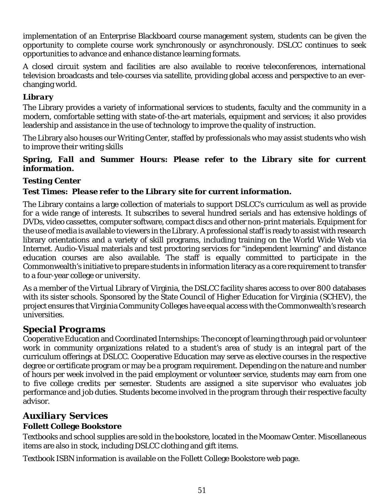implementation of an Enterprise Blackboard course management system, students can be given the opportunity to complete course work synchronously or asynchronously. DSLCC continues to seek opportunities to advance and enhance distance learning formats.

A closed circuit system and facilities are also available to receive teleconferences, international television broadcasts and tele-courses via satellite, providing global access and perspective to an everchanging world.

#### *Library*

The Library provides a variety of informational services to students, faculty and the community in a modern, comfortable setting with state-of-the-art materials, equipment and services; it also provides leadership and assistance in the use of technology to improve the quality of instruction.

The Library also houses our Writing Center, staffed by professionals who may assist students who wish to improve their writing skills

#### *Spring, Fall and Summer Hours: Please refer to the Library site for current information.*

#### *Testing Center*

#### *Test Times: Please refer to the Library site for current information.*

The Library contains a large collection of materials to support DSLCC's curriculum as well as provide for a wide range of interests. It subscribes to several hundred serials and has extensive holdings of DVDs, video cassettes, computer software, compact discs and other non-print materials. Equipment for the use of media is available to viewers in the Library. A professional staff is ready to assist with research library orientations and a variety of skill programs, including training on the World Wide Web via Internet. Audio-Visual materials and test proctoring services for "independent learning" and distance education courses are also available. The staff is equally committed to participate in the Commonwealth's initiative to prepare students in information literacy as a core requirement to transfer to a four-year college or university.

As a member of the Virtual Library of Virginia, the DSLCC facility shares access to over 800 databases with its sister schools. Sponsored by the State Council of Higher Education for Virginia (SCHEV), the project ensures that Virginia Community Colleges have equal access with the Commonwealth's research universities.

## *Special Programs*

Cooperative Education and Coordinated Internships: The concept of learning through paid or volunteer work in community organizations related to a student's area of study is an integral part of the curriculum offerings at DSLCC. Cooperative Education may serve as elective courses in the respective degree or certificate program or may be a program requirement. Depending on the nature and number of hours per week involved in the paid employment or volunteer service, students may earn from one to five college credits per semester. Students are assigned a site supervisor who evaluates job performance and job duties. Students become involved in the program through their respective faculty advisor.

## *Auxiliary Services*

#### **Follett College Bookstore**

Textbooks and school supplies are sold in the bookstore, located in the Moomaw Center. Miscellaneous items are also in stock, including DSLCC clothing and gift items.

Textbook ISBN information is available on the Follett College Bookstore web page.